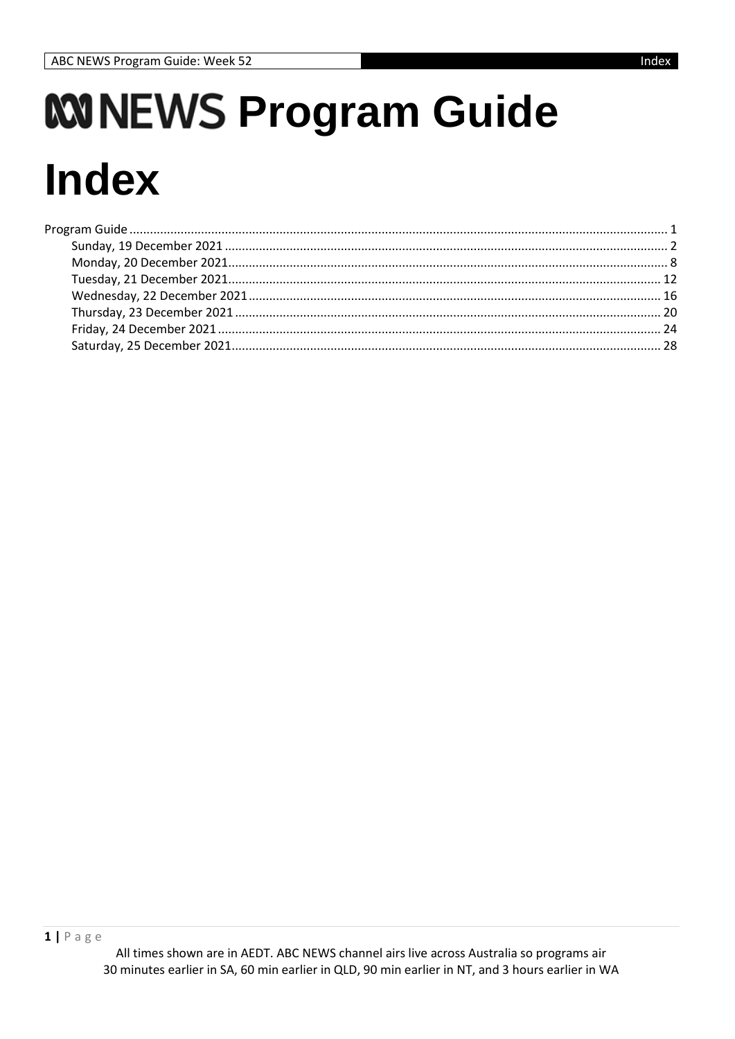<span id="page-0-0"></span>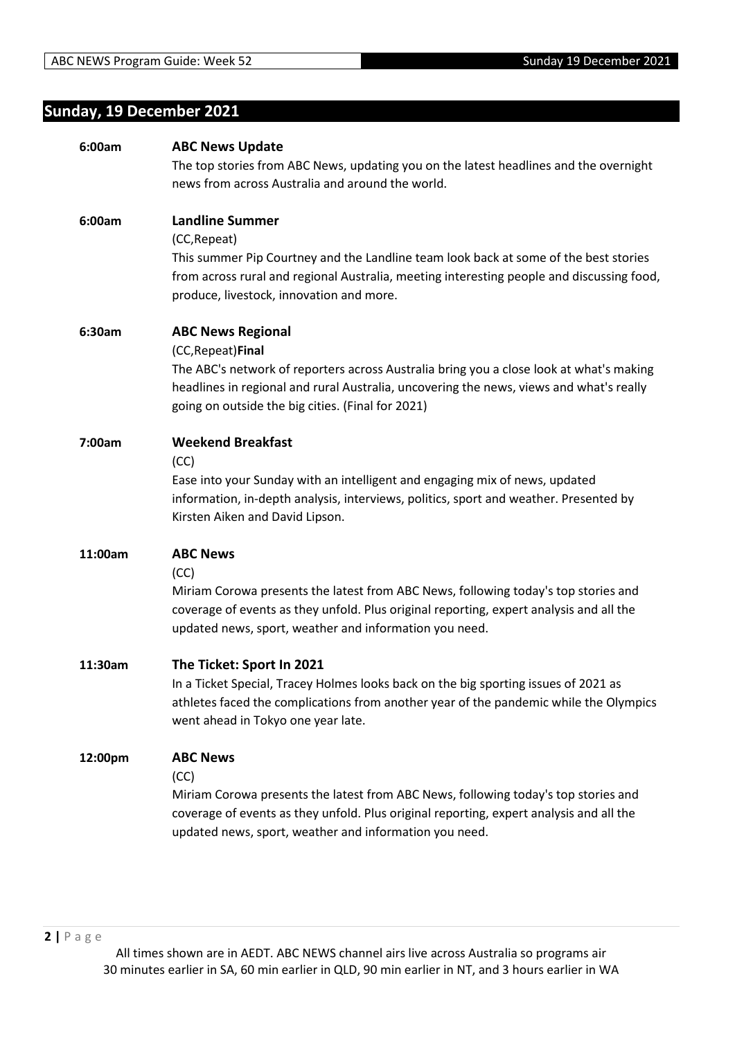# <span id="page-1-0"></span>**Sunday, 19 December 2021**

| 6:00am  | <b>ABC News Update</b>                                                                                                                                                                                                                  |
|---------|-----------------------------------------------------------------------------------------------------------------------------------------------------------------------------------------------------------------------------------------|
|         | The top stories from ABC News, updating you on the latest headlines and the overnight                                                                                                                                                   |
|         | news from across Australia and around the world.                                                                                                                                                                                        |
|         | <b>Landline Summer</b>                                                                                                                                                                                                                  |
| 6:00am  |                                                                                                                                                                                                                                         |
|         | (CC, Repeat)<br>This summer Pip Courtney and the Landline team look back at some of the best stories                                                                                                                                    |
|         | from across rural and regional Australia, meeting interesting people and discussing food,<br>produce, livestock, innovation and more.                                                                                                   |
| 6:30am  | <b>ABC News Regional</b>                                                                                                                                                                                                                |
|         | (CC, Repeat) Final                                                                                                                                                                                                                      |
|         | The ABC's network of reporters across Australia bring you a close look at what's making<br>headlines in regional and rural Australia, uncovering the news, views and what's really<br>going on outside the big cities. (Final for 2021) |
| 7:00am  | <b>Weekend Breakfast</b>                                                                                                                                                                                                                |
|         | (CC)                                                                                                                                                                                                                                    |
|         | Ease into your Sunday with an intelligent and engaging mix of news, updated                                                                                                                                                             |
|         | information, in-depth analysis, interviews, politics, sport and weather. Presented by<br>Kirsten Aiken and David Lipson.                                                                                                                |
| 11:00am | <b>ABC News</b>                                                                                                                                                                                                                         |
|         | (CC)                                                                                                                                                                                                                                    |
|         | Miriam Corowa presents the latest from ABC News, following today's top stories and<br>coverage of events as they unfold. Plus original reporting, expert analysis and all the<br>updated news, sport, weather and information you need. |
| 11:30am | The Ticket: Sport In 2021                                                                                                                                                                                                               |
|         | In a Ticket Special, Tracey Holmes looks back on the big sporting issues of 2021 as                                                                                                                                                     |
|         | athletes faced the complications from another year of the pandemic while the Olympics                                                                                                                                                   |
|         | went ahead in Tokyo one year late.                                                                                                                                                                                                      |
| 12:00pm | <b>ABC News</b>                                                                                                                                                                                                                         |
|         | (CC)                                                                                                                                                                                                                                    |
|         | Miriam Corowa presents the latest from ABC News, following today's top stories and                                                                                                                                                      |
|         | coverage of events as they unfold. Plus original reporting, expert analysis and all the<br>updated news, sport, weather and information you need.                                                                                       |
|         |                                                                                                                                                                                                                                         |
|         |                                                                                                                                                                                                                                         |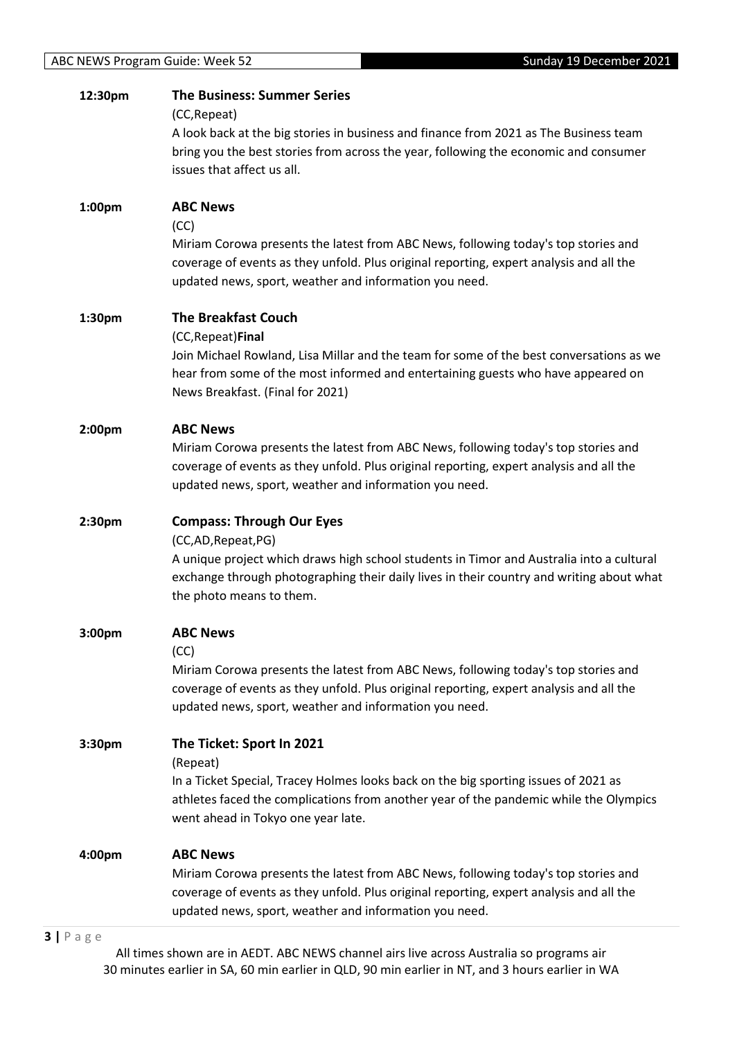| 12:30pm            | <b>The Business: Summer Series</b><br>(CC, Repeat)                                                                                                                                   |
|--------------------|--------------------------------------------------------------------------------------------------------------------------------------------------------------------------------------|
|                    | A look back at the big stories in business and finance from 2021 as The Business team                                                                                                |
|                    | bring you the best stories from across the year, following the economic and consumer                                                                                                 |
|                    | issues that affect us all.                                                                                                                                                           |
| 1:00pm             | <b>ABC News</b>                                                                                                                                                                      |
|                    | (CC)                                                                                                                                                                                 |
|                    | Miriam Corowa presents the latest from ABC News, following today's top stories and<br>coverage of events as they unfold. Plus original reporting, expert analysis and all the        |
|                    | updated news, sport, weather and information you need.                                                                                                                               |
| 1:30pm             | <b>The Breakfast Couch</b>                                                                                                                                                           |
|                    | (CC, Repeat) Final                                                                                                                                                                   |
|                    | Join Michael Rowland, Lisa Millar and the team for some of the best conversations as we<br>hear from some of the most informed and entertaining guests who have appeared on          |
|                    | News Breakfast. (Final for 2021)                                                                                                                                                     |
| 2:00 <sub>pm</sub> | <b>ABC News</b>                                                                                                                                                                      |
|                    | Miriam Corowa presents the latest from ABC News, following today's top stories and                                                                                                   |
|                    | coverage of events as they unfold. Plus original reporting, expert analysis and all the<br>updated news, sport, weather and information you need.                                    |
|                    |                                                                                                                                                                                      |
| 2:30pm             | <b>Compass: Through Our Eyes</b>                                                                                                                                                     |
|                    | (CC,AD, Repeat, PG)                                                                                                                                                                  |
|                    |                                                                                                                                                                                      |
|                    | A unique project which draws high school students in Timor and Australia into a cultural<br>exchange through photographing their daily lives in their country and writing about what |
|                    | the photo means to them.                                                                                                                                                             |
| 3:00 <sub>pm</sub> | <b>ABC News</b>                                                                                                                                                                      |
|                    | (CC)                                                                                                                                                                                 |
|                    | Miriam Corowa presents the latest from ABC News, following today's top stories and                                                                                                   |
|                    | coverage of events as they unfold. Plus original reporting, expert analysis and all the<br>updated news, sport, weather and information you need.                                    |
| 3:30pm             | The Ticket: Sport In 2021                                                                                                                                                            |
|                    | (Repeat)                                                                                                                                                                             |
|                    | In a Ticket Special, Tracey Holmes looks back on the big sporting issues of 2021 as                                                                                                  |
|                    | athletes faced the complications from another year of the pandemic while the Olympics<br>went ahead in Tokyo one year late.                                                          |
| 4:00pm             | <b>ABC News</b>                                                                                                                                                                      |
|                    | Miriam Corowa presents the latest from ABC News, following today's top stories and                                                                                                   |
|                    | coverage of events as they unfold. Plus original reporting, expert analysis and all the<br>updated news, sport, weather and information you need.                                    |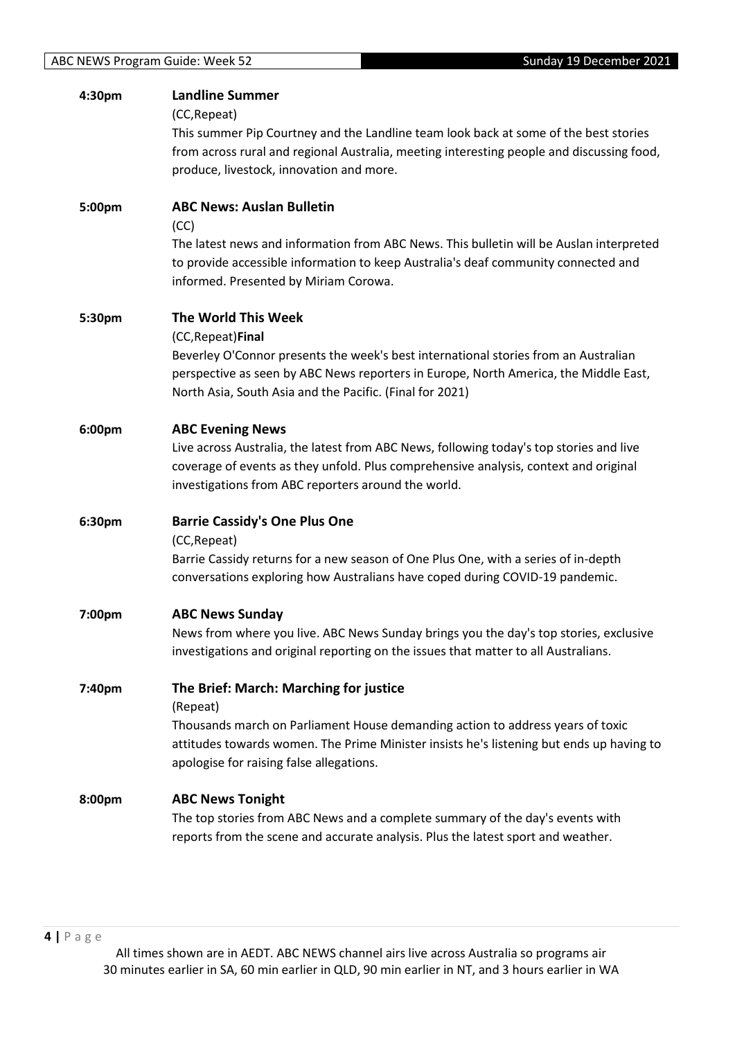| 4:30pm | <b>Landline Summer</b>                                                                    |
|--------|-------------------------------------------------------------------------------------------|
|        | (CC, Repeat)                                                                              |
|        | This summer Pip Courtney and the Landline team look back at some of the best stories      |
|        | from across rural and regional Australia, meeting interesting people and discussing food, |
|        | produce, livestock, innovation and more.                                                  |
|        |                                                                                           |
| 5:00pm | <b>ABC News: Auslan Bulletin</b>                                                          |
|        | (CC)                                                                                      |
|        | The latest news and information from ABC News. This bulletin will be Auslan interpreted   |
|        | to provide accessible information to keep Australia's deaf community connected and        |
|        | informed. Presented by Miriam Corowa.                                                     |
|        |                                                                                           |
| 5:30pm | The World This Week                                                                       |
|        | (CC, Repeat) Final                                                                        |
|        | Beverley O'Connor presents the week's best international stories from an Australian       |
|        | perspective as seen by ABC News reporters in Europe, North America, the Middle East,      |
|        | North Asia, South Asia and the Pacific. (Final for 2021)                                  |
|        |                                                                                           |
| 6:00pm | <b>ABC Evening News</b>                                                                   |
|        | Live across Australia, the latest from ABC News, following today's top stories and live   |
|        | coverage of events as they unfold. Plus comprehensive analysis, context and original      |
|        | investigations from ABC reporters around the world.                                       |
|        |                                                                                           |
| 6:30pm | <b>Barrie Cassidy's One Plus One</b>                                                      |
|        | (CC, Repeat)                                                                              |
|        | Barrie Cassidy returns for a new season of One Plus One, with a series of in-depth        |
|        | conversations exploring how Australians have coped during COVID-19 pandemic.              |
|        |                                                                                           |
| 7:00pm | <b>ABC News Sunday</b>                                                                    |
|        | News from where you live. ABC News Sunday brings you the day's top stories, exclusive     |
|        | investigations and original reporting on the issues that matter to all Australians.       |
|        |                                                                                           |
| 7:40pm | The Brief: March: Marching for justice                                                    |
|        | (Repeat)                                                                                  |
|        | Thousands march on Parliament House demanding action to address years of toxic            |
|        | attitudes towards women. The Prime Minister insists he's listening but ends up having to  |
|        | apologise for raising false allegations.                                                  |
|        |                                                                                           |
| 8:00pm | <b>ABC News Tonight</b>                                                                   |
|        | The top stories from ABC News and a complete summary of the day's events with             |
|        | reports from the scene and accurate analysis. Plus the latest sport and weather.          |
|        |                                                                                           |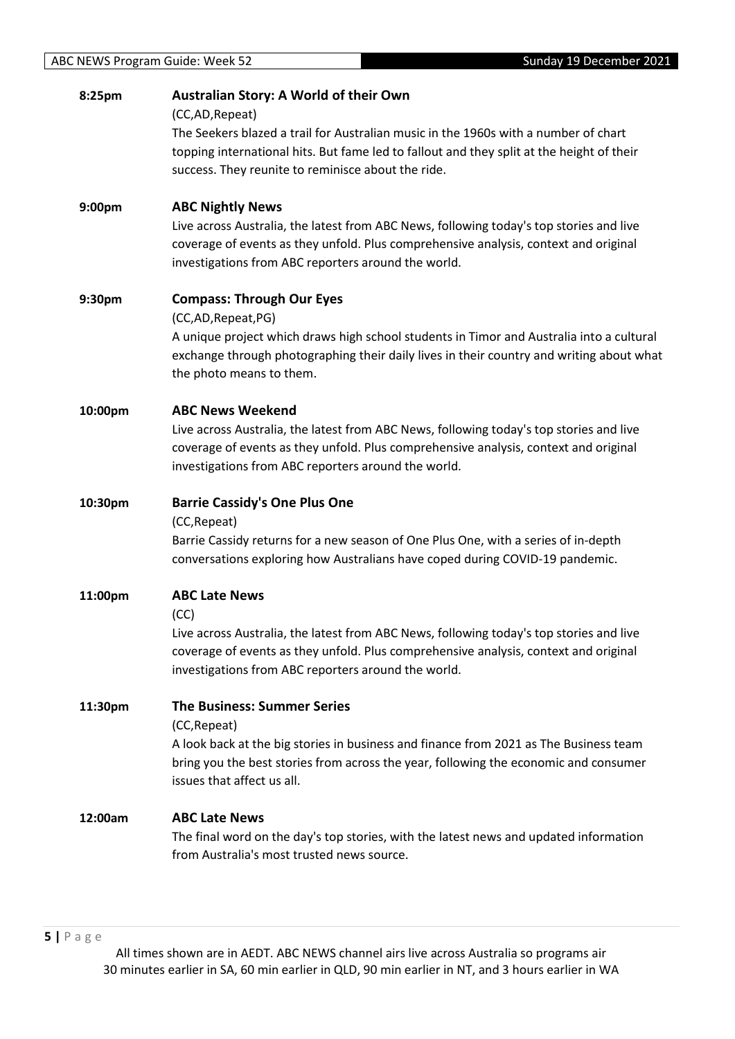| 8:25pm  | Australian Story: A World of their Own                                                                                                                                                                                                 |
|---------|----------------------------------------------------------------------------------------------------------------------------------------------------------------------------------------------------------------------------------------|
|         | (CC,AD, Repeat)<br>The Seekers blazed a trail for Australian music in the 1960s with a number of chart                                                                                                                                 |
|         | topping international hits. But fame led to fallout and they split at the height of their                                                                                                                                              |
|         | success. They reunite to reminisce about the ride.                                                                                                                                                                                     |
| 9:00pm  | <b>ABC Nightly News</b>                                                                                                                                                                                                                |
|         | Live across Australia, the latest from ABC News, following today's top stories and live<br>coverage of events as they unfold. Plus comprehensive analysis, context and original<br>investigations from ABC reporters around the world. |
| 9:30pm  | <b>Compass: Through Our Eyes</b>                                                                                                                                                                                                       |
|         | (CC,AD,Repeat,PG)                                                                                                                                                                                                                      |
|         | A unique project which draws high school students in Timor and Australia into a cultural<br>exchange through photographing their daily lives in their country and writing about what<br>the photo means to them.                       |
|         | <b>ABC News Weekend</b>                                                                                                                                                                                                                |
| 10:00pm | Live across Australia, the latest from ABC News, following today's top stories and live                                                                                                                                                |
|         | coverage of events as they unfold. Plus comprehensive analysis, context and original                                                                                                                                                   |
|         | investigations from ABC reporters around the world.                                                                                                                                                                                    |
| 10:30pm | <b>Barrie Cassidy's One Plus One</b>                                                                                                                                                                                                   |
|         | (CC, Repeat)                                                                                                                                                                                                                           |
|         | Barrie Cassidy returns for a new season of One Plus One, with a series of in-depth<br>conversations exploring how Australians have coped during COVID-19 pandemic.                                                                     |
| 11:00pm | <b>ABC Late News</b>                                                                                                                                                                                                                   |
|         | (CC)<br>Live across Australia, the latest from ABC News, following today's top stories and live                                                                                                                                        |
|         | coverage of events as they unfold. Plus comprehensive analysis, context and original                                                                                                                                                   |
|         | investigations from ABC reporters around the world.                                                                                                                                                                                    |
| 11:30pm | <b>The Business: Summer Series</b>                                                                                                                                                                                                     |
|         | (CC, Repeat)                                                                                                                                                                                                                           |
|         | A look back at the big stories in business and finance from 2021 as The Business team                                                                                                                                                  |
|         | bring you the best stories from across the year, following the economic and consumer<br>issues that affect us all.                                                                                                                     |
| 12:00am | <b>ABC Late News</b>                                                                                                                                                                                                                   |
|         | The final word on the day's top stories, with the latest news and updated information                                                                                                                                                  |
|         | from Australia's most trusted news source.                                                                                                                                                                                             |
|         |                                                                                                                                                                                                                                        |
|         |                                                                                                                                                                                                                                        |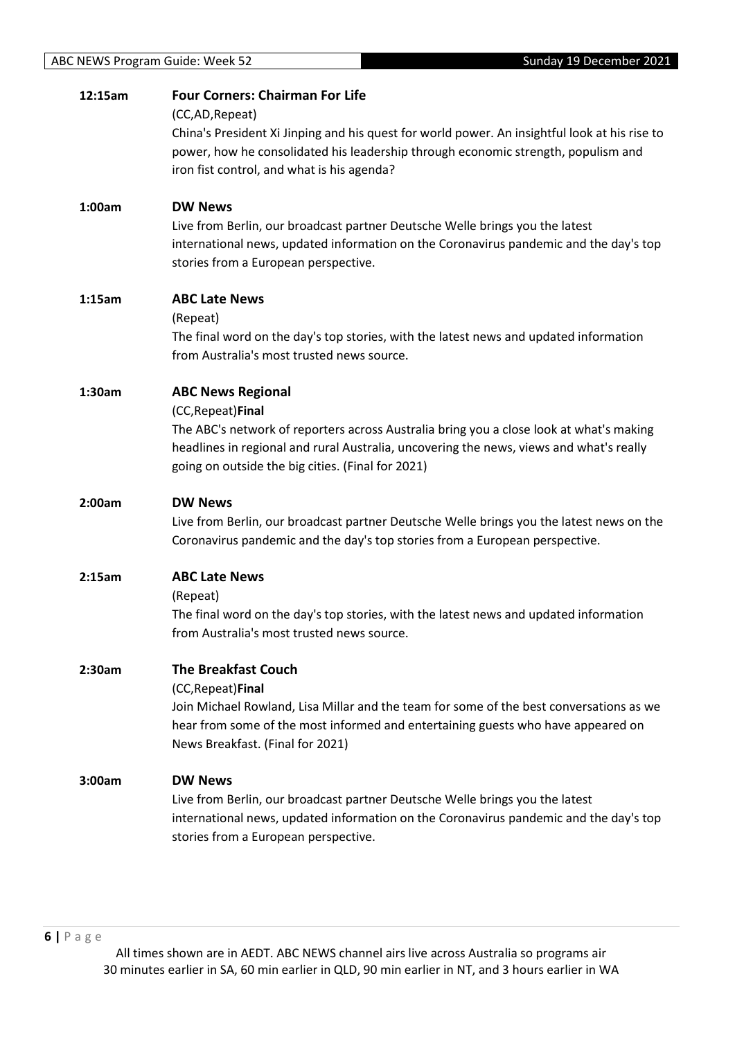| 12:15am | <b>Four Corners: Chairman For Life</b><br>(CC,AD, Repeat)                                                                                                                                                                                                                                 |
|---------|-------------------------------------------------------------------------------------------------------------------------------------------------------------------------------------------------------------------------------------------------------------------------------------------|
|         | China's President Xi Jinping and his quest for world power. An insightful look at his rise to<br>power, how he consolidated his leadership through economic strength, populism and<br>iron fist control, and what is his agenda?                                                          |
| 1:00am  | <b>DW News</b><br>Live from Berlin, our broadcast partner Deutsche Welle brings you the latest<br>international news, updated information on the Coronavirus pandemic and the day's top<br>stories from a European perspective.                                                           |
| 1:15am  | <b>ABC Late News</b><br>(Repeat)<br>The final word on the day's top stories, with the latest news and updated information<br>from Australia's most trusted news source.                                                                                                                   |
| 1:30am  | <b>ABC News Regional</b><br>(CC, Repeat) Final<br>The ABC's network of reporters across Australia bring you a close look at what's making<br>headlines in regional and rural Australia, uncovering the news, views and what's really<br>going on outside the big cities. (Final for 2021) |
| 2:00am  | <b>DW News</b><br>Live from Berlin, our broadcast partner Deutsche Welle brings you the latest news on the<br>Coronavirus pandemic and the day's top stories from a European perspective.                                                                                                 |
| 2:15am  | <b>ABC Late News</b><br>(Repeat)<br>The final word on the day's top stories, with the latest news and updated information<br>from Australia's most trusted news source.                                                                                                                   |
| 2:30am  | <b>The Breakfast Couch</b><br>(CC, Repeat) Final<br>Join Michael Rowland, Lisa Millar and the team for some of the best conversations as we<br>hear from some of the most informed and entertaining guests who have appeared on<br>News Breakfast. (Final for 2021)                       |
| 3:00am  | <b>DW News</b><br>Live from Berlin, our broadcast partner Deutsche Welle brings you the latest<br>international news, updated information on the Coronavirus pandemic and the day's top<br>stories from a European perspective.                                                           |

**6 |** P a g e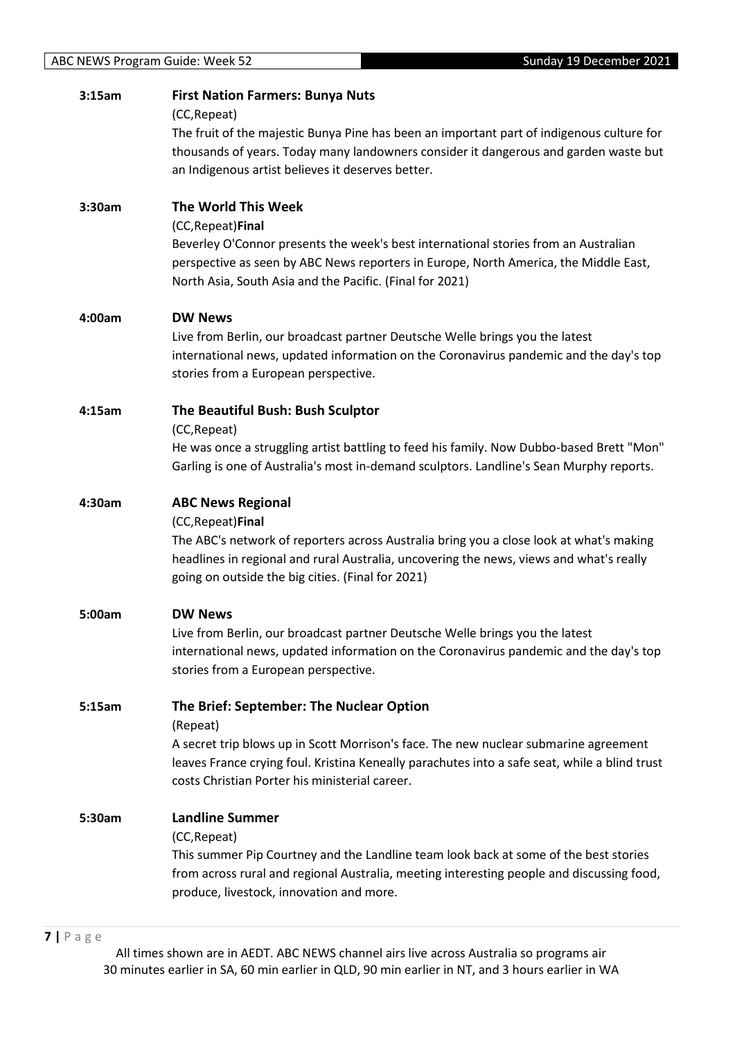| 3:15am | <b>First Nation Farmers: Bunya Nuts</b><br>(CC, Repeat)<br>The fruit of the majestic Bunya Pine has been an important part of indigenous culture for<br>thousands of years. Today many landowners consider it dangerous and garden waste but<br>an Indigenous artist believes it deserves better. |
|--------|---------------------------------------------------------------------------------------------------------------------------------------------------------------------------------------------------------------------------------------------------------------------------------------------------|
| 3:30am | <b>The World This Week</b><br>(CC, Repeat) Final<br>Beverley O'Connor presents the week's best international stories from an Australian<br>perspective as seen by ABC News reporters in Europe, North America, the Middle East,<br>North Asia, South Asia and the Pacific. (Final for 2021)       |
| 4:00am | <b>DW News</b><br>Live from Berlin, our broadcast partner Deutsche Welle brings you the latest<br>international news, updated information on the Coronavirus pandemic and the day's top<br>stories from a European perspective.                                                                   |
| 4:15am | The Beautiful Bush: Bush Sculptor<br>(CC, Repeat)<br>He was once a struggling artist battling to feed his family. Now Dubbo-based Brett "Mon"<br>Garling is one of Australia's most in-demand sculptors. Landline's Sean Murphy reports.                                                          |
| 4:30am | <b>ABC News Regional</b><br>(CC, Repeat) Final<br>The ABC's network of reporters across Australia bring you a close look at what's making<br>headlines in regional and rural Australia, uncovering the news, views and what's really<br>going on outside the big cities. (Final for 2021)         |
| 5:00am | <b>DW News</b><br>Live from Berlin, our broadcast partner Deutsche Welle brings you the latest<br>international news, updated information on the Coronavirus pandemic and the day's top<br>stories from a European perspective.                                                                   |
| 5:15am | The Brief: September: The Nuclear Option<br>(Repeat)<br>A secret trip blows up in Scott Morrison's face. The new nuclear submarine agreement<br>leaves France crying foul. Kristina Keneally parachutes into a safe seat, while a blind trust<br>costs Christian Porter his ministerial career.   |
| 5:30am | <b>Landline Summer</b><br>(CC, Repeat)<br>This summer Pip Courtney and the Landline team look back at some of the best stories<br>from across rural and regional Australia, meeting interesting people and discussing food,<br>produce, livestock, innovation and more.                           |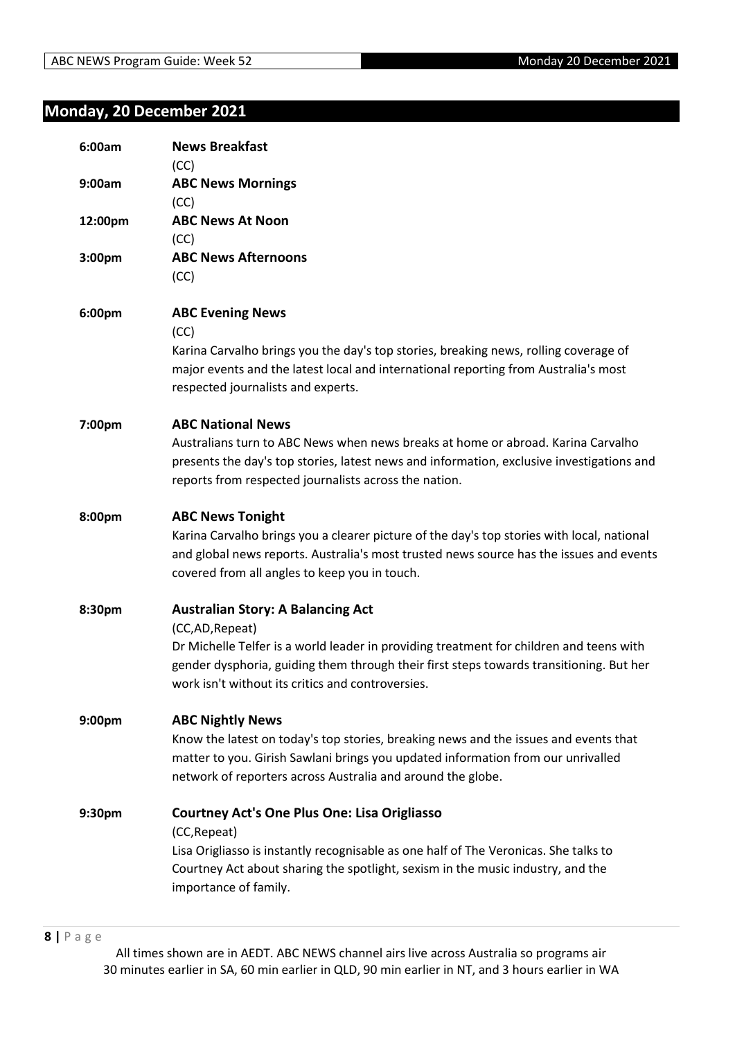# <span id="page-7-0"></span>**Monday, 20 December 2021**

| 6:00am  | <b>News Breakfast</b><br>(CC)                                                                                                                                                                                                                                                                          |
|---------|--------------------------------------------------------------------------------------------------------------------------------------------------------------------------------------------------------------------------------------------------------------------------------------------------------|
| 9:00am  | <b>ABC News Mornings</b><br>(CC)                                                                                                                                                                                                                                                                       |
| 12:00pm | <b>ABC News At Noon</b><br>(CC)                                                                                                                                                                                                                                                                        |
| 3:00pm  | <b>ABC News Afternoons</b><br>(CC)                                                                                                                                                                                                                                                                     |
| 6:00pm  | <b>ABC Evening News</b><br>(CC)<br>Karina Carvalho brings you the day's top stories, breaking news, rolling coverage of<br>major events and the latest local and international reporting from Australia's most<br>respected journalists and experts.                                                   |
| 7:00pm  | <b>ABC National News</b><br>Australians turn to ABC News when news breaks at home or abroad. Karina Carvalho<br>presents the day's top stories, latest news and information, exclusive investigations and<br>reports from respected journalists across the nation.                                     |
| 8:00pm  | <b>ABC News Tonight</b><br>Karina Carvalho brings you a clearer picture of the day's top stories with local, national<br>and global news reports. Australia's most trusted news source has the issues and events<br>covered from all angles to keep you in touch.                                      |
| 8:30pm  | <b>Australian Story: A Balancing Act</b><br>(CC,AD, Repeat)<br>Dr Michelle Telfer is a world leader in providing treatment for children and teens with<br>gender dysphoria, guiding them through their first steps towards transitioning. But her<br>work isn't without its critics and controversies. |
| 9:00pm  | <b>ABC Nightly News</b><br>Know the latest on today's top stories, breaking news and the issues and events that<br>matter to you. Girish Sawlani brings you updated information from our unrivalled<br>network of reporters across Australia and around the globe.                                     |
| 9:30pm  | <b>Courtney Act's One Plus One: Lisa Origliasso</b><br>(CC, Repeat)<br>Lisa Origliasso is instantly recognisable as one half of The Veronicas. She talks to<br>Courtney Act about sharing the spotlight, sexism in the music industry, and the<br>importance of family.                                |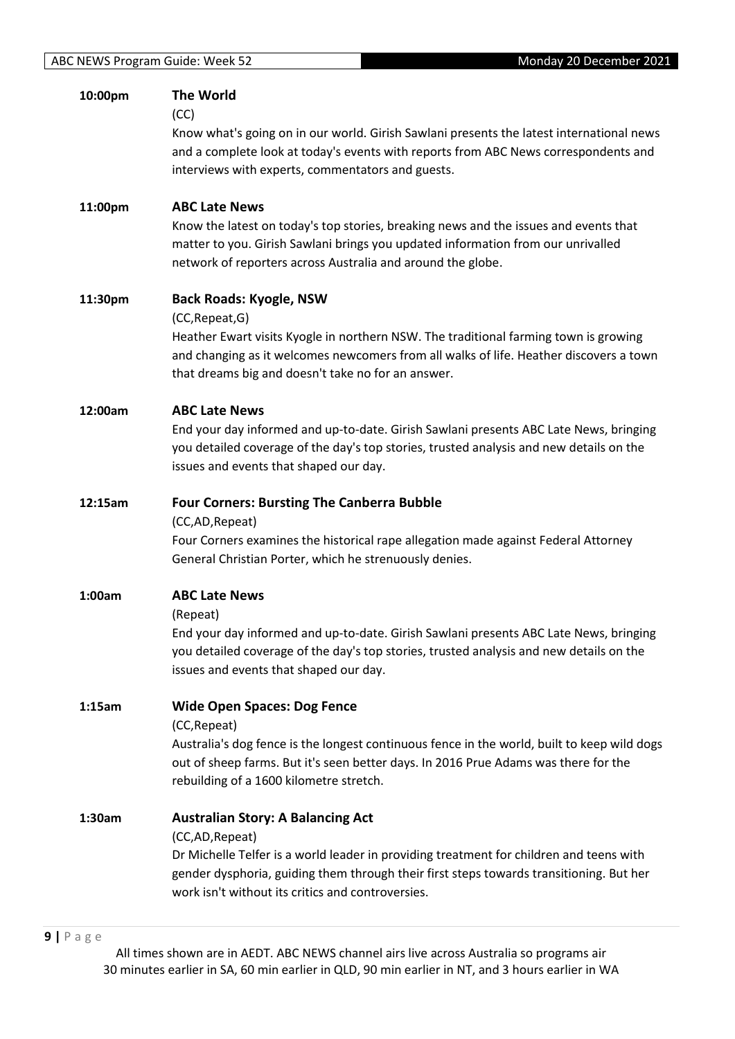| 10:00pm | <b>The World</b><br>(CC)<br>Know what's going on in our world. Girish Sawlani presents the latest international news<br>and a complete look at today's events with reports from ABC News correspondents and<br>interviews with experts, commentators and guests.                                      |
|---------|-------------------------------------------------------------------------------------------------------------------------------------------------------------------------------------------------------------------------------------------------------------------------------------------------------|
| 11:00pm | <b>ABC Late News</b><br>Know the latest on today's top stories, breaking news and the issues and events that<br>matter to you. Girish Sawlani brings you updated information from our unrivalled<br>network of reporters across Australia and around the globe.                                       |
| 11:30pm | <b>Back Roads: Kyogle, NSW</b><br>(CC, Repeat, G)<br>Heather Ewart visits Kyogle in northern NSW. The traditional farming town is growing<br>and changing as it welcomes newcomers from all walks of life. Heather discovers a town<br>that dreams big and doesn't take no for an answer.             |
| 12:00am | <b>ABC Late News</b><br>End your day informed and up-to-date. Girish Sawlani presents ABC Late News, bringing<br>you detailed coverage of the day's top stories, trusted analysis and new details on the<br>issues and events that shaped our day.                                                    |
| 12:15am | <b>Four Corners: Bursting The Canberra Bubble</b><br>(CC,AD, Repeat)<br>Four Corners examines the historical rape allegation made against Federal Attorney<br>General Christian Porter, which he strenuously denies.                                                                                  |
| 1:00am  | <b>ABC Late News</b><br>(Repeat)<br>End your day informed and up-to-date. Girish Sawlani presents ABC Late News, bringing<br>you detailed coverage of the day's top stories, trusted analysis and new details on the<br>issues and events that shaped our day.                                        |
| 1:15am  | <b>Wide Open Spaces: Dog Fence</b><br>(CC, Repeat)<br>Australia's dog fence is the longest continuous fence in the world, built to keep wild dogs<br>out of sheep farms. But it's seen better days. In 2016 Prue Adams was there for the<br>rebuilding of a 1600 kilometre stretch.                   |
| 1:30am  | <b>Australian Story: A Balancing Act</b><br>(CC,AD,Repeat)<br>Dr Michelle Telfer is a world leader in providing treatment for children and teens with<br>gender dysphoria, guiding them through their first steps towards transitioning. But her<br>work isn't without its critics and controversies. |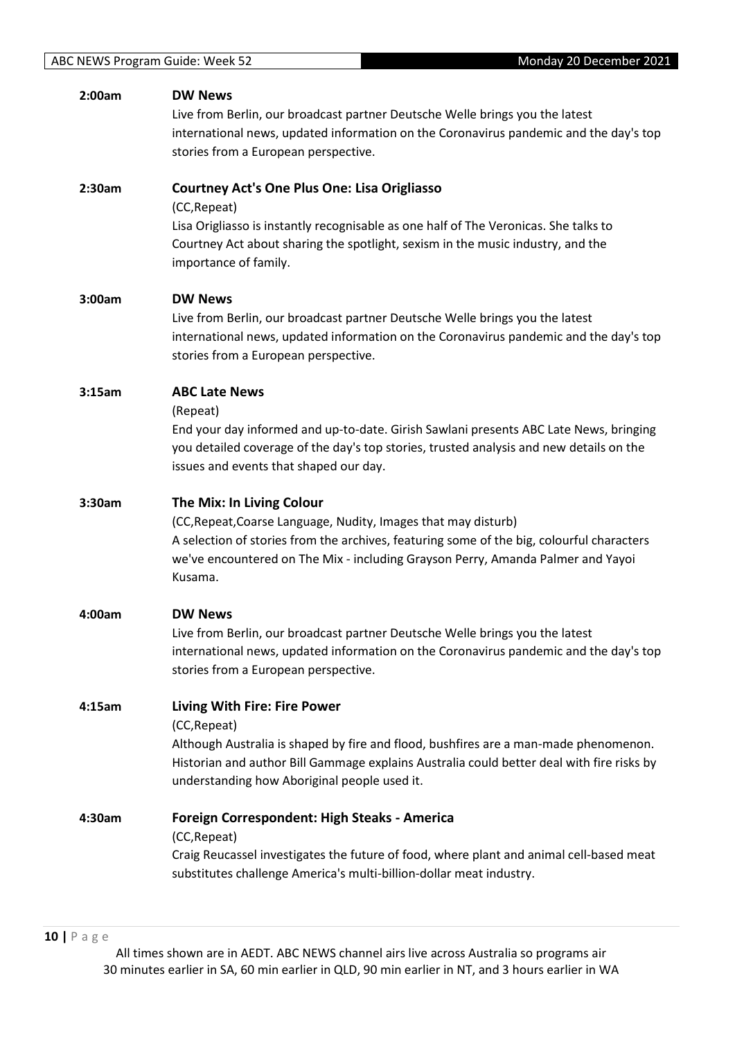| 2:00am | <b>DW News</b><br>Live from Berlin, our broadcast partner Deutsche Welle brings you the latest<br>international news, updated information on the Coronavirus pandemic and the day's top<br>stories from a European perspective.                                                          |
|--------|------------------------------------------------------------------------------------------------------------------------------------------------------------------------------------------------------------------------------------------------------------------------------------------|
| 2:30am | <b>Courtney Act's One Plus One: Lisa Origliasso</b><br>(CC, Repeat)<br>Lisa Origliasso is instantly recognisable as one half of The Veronicas. She talks to<br>Courtney Act about sharing the spotlight, sexism in the music industry, and the<br>importance of family.                  |
| 3:00am | <b>DW News</b><br>Live from Berlin, our broadcast partner Deutsche Welle brings you the latest<br>international news, updated information on the Coronavirus pandemic and the day's top<br>stories from a European perspective.                                                          |
| 3:15am | <b>ABC Late News</b><br>(Repeat)<br>End your day informed and up-to-date. Girish Sawlani presents ABC Late News, bringing<br>you detailed coverage of the day's top stories, trusted analysis and new details on the<br>issues and events that shaped our day.                           |
| 3:30am | The Mix: In Living Colour<br>(CC, Repeat, Coarse Language, Nudity, Images that may disturb)<br>A selection of stories from the archives, featuring some of the big, colourful characters<br>we've encountered on The Mix - including Grayson Perry, Amanda Palmer and Yayoi<br>Kusama.   |
| 4:00am | <b>DW News</b><br>Live from Berlin, our broadcast partner Deutsche Welle brings you the latest<br>international news, updated information on the Coronavirus pandemic and the day's top<br>stories from a European perspective.                                                          |
| 4:15am | <b>Living With Fire: Fire Power</b><br>(CC, Repeat)<br>Although Australia is shaped by fire and flood, bushfires are a man-made phenomenon.<br>Historian and author Bill Gammage explains Australia could better deal with fire risks by<br>understanding how Aboriginal people used it. |
| 4:30am | <b>Foreign Correspondent: High Steaks - America</b><br>(CC, Repeat)<br>Craig Reucassel investigates the future of food, where plant and animal cell-based meat<br>substitutes challenge America's multi-billion-dollar meat industry.                                                    |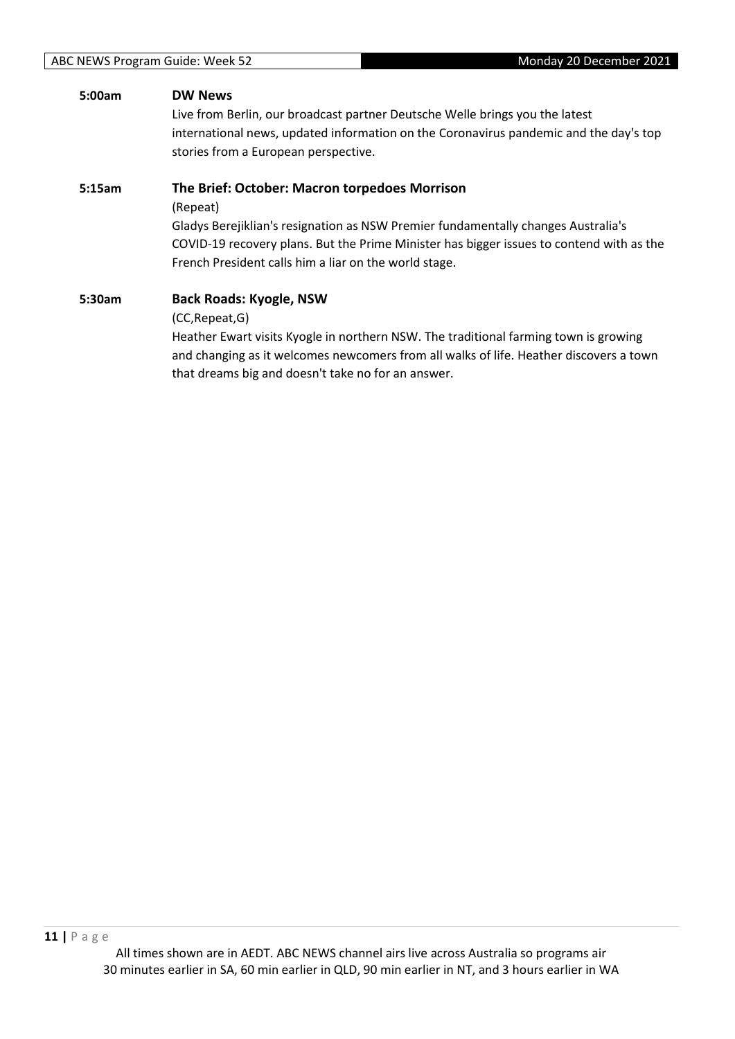### **5:00am DW News**

Live from Berlin, our broadcast partner Deutsche Welle brings you the latest international news, updated information on the Coronavirus pandemic and the day's top stories from a European perspective.

### **5:15am The Brief: October: Macron torpedoes Morrison**

(Repeat)

Gladys Berejiklian's resignation as NSW Premier fundamentally changes Australia's COVID-19 recovery plans. But the Prime Minister has bigger issues to contend with as the French President calls him a liar on the world stage.

**5:30am Back Roads: Kyogle, NSW** (CC,Repeat,G) Heather Ewart visits Kyogle in northern NSW. The traditional farming town is growing and changing as it welcomes newcomers from all walks of life. Heather discovers a town

that dreams big and doesn't take no for an answer.

**11 |** P a g e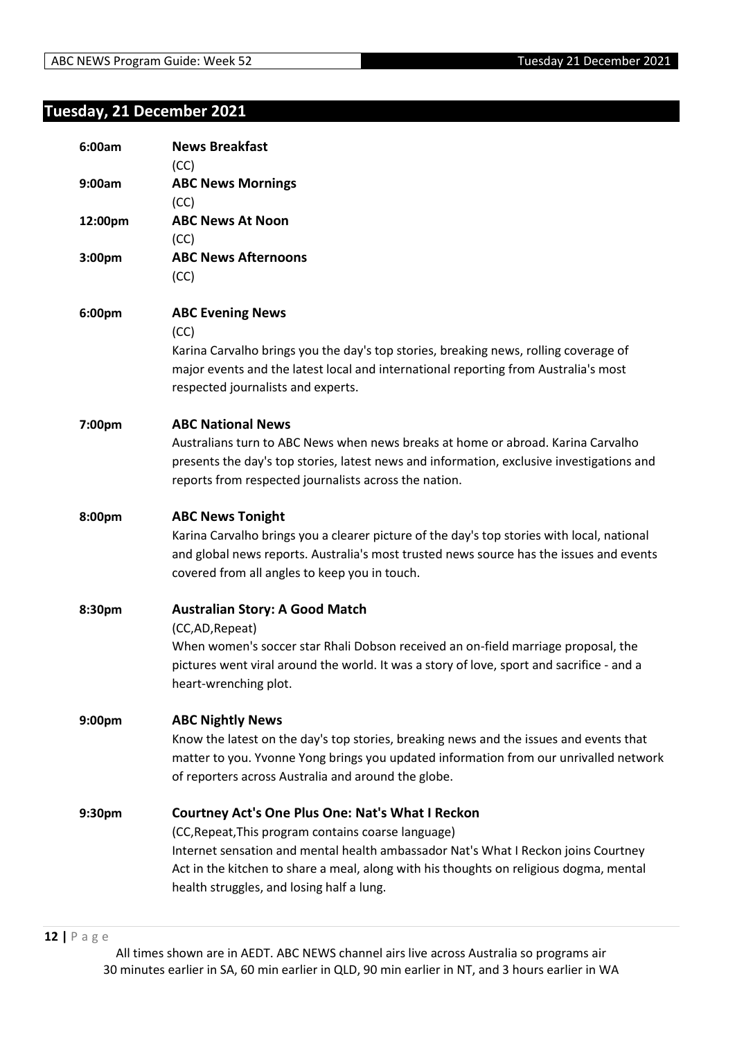# <span id="page-11-0"></span>**Tuesday, 21 December 2021**

| 6:00am  | <b>News Breakfast</b><br>(CC)                                                                                                                                                                                                                                                                                                               |
|---------|---------------------------------------------------------------------------------------------------------------------------------------------------------------------------------------------------------------------------------------------------------------------------------------------------------------------------------------------|
| 9:00am  | <b>ABC News Mornings</b><br>(CC)                                                                                                                                                                                                                                                                                                            |
| 12:00pm | <b>ABC News At Noon</b><br>(CC)                                                                                                                                                                                                                                                                                                             |
| 3:00pm  | <b>ABC News Afternoons</b><br>(CC)                                                                                                                                                                                                                                                                                                          |
| 6:00pm  | <b>ABC Evening News</b><br>(CC)<br>Karina Carvalho brings you the day's top stories, breaking news, rolling coverage of<br>major events and the latest local and international reporting from Australia's most<br>respected journalists and experts.                                                                                        |
| 7:00pm  | <b>ABC National News</b><br>Australians turn to ABC News when news breaks at home or abroad. Karina Carvalho<br>presents the day's top stories, latest news and information, exclusive investigations and<br>reports from respected journalists across the nation.                                                                          |
| 8:00pm  | <b>ABC News Tonight</b><br>Karina Carvalho brings you a clearer picture of the day's top stories with local, national<br>and global news reports. Australia's most trusted news source has the issues and events<br>covered from all angles to keep you in touch.                                                                           |
| 8:30pm  | <b>Australian Story: A Good Match</b><br>(CC,AD, Repeat)<br>When women's soccer star Rhali Dobson received an on-field marriage proposal, the<br>pictures went viral around the world. It was a story of love, sport and sacrifice - and a<br>heart-wrenching plot.                                                                         |
| 9:00pm  | <b>ABC Nightly News</b><br>Know the latest on the day's top stories, breaking news and the issues and events that<br>matter to you. Yvonne Yong brings you updated information from our unrivalled network<br>of reporters across Australia and around the globe.                                                                           |
| 9:30pm  | <b>Courtney Act's One Plus One: Nat's What I Reckon</b><br>(CC, Repeat, This program contains coarse language)<br>Internet sensation and mental health ambassador Nat's What I Reckon joins Courtney<br>Act in the kitchen to share a meal, along with his thoughts on religious dogma, mental<br>health struggles, and losing half a lung. |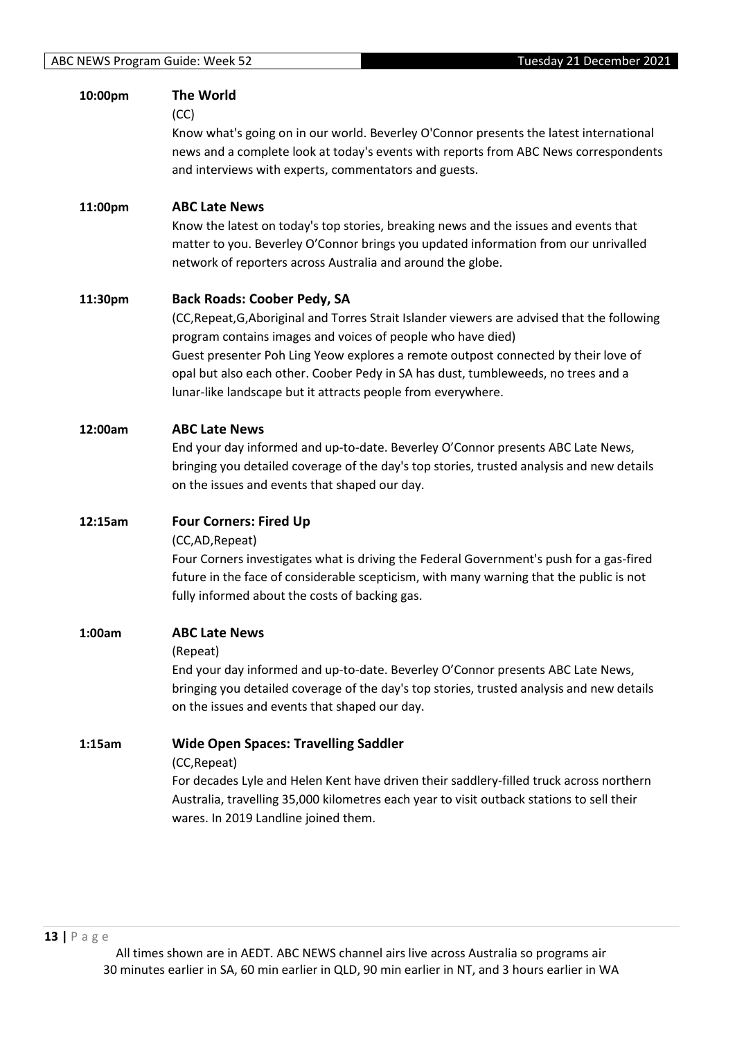| 10:00pm | <b>The World</b><br>(CC)<br>Know what's going on in our world. Beverley O'Connor presents the latest international<br>news and a complete look at today's events with reports from ABC News correspondents<br>and interviews with experts, commentators and guests.                                                                                                                                                                          |
|---------|----------------------------------------------------------------------------------------------------------------------------------------------------------------------------------------------------------------------------------------------------------------------------------------------------------------------------------------------------------------------------------------------------------------------------------------------|
| 11:00pm | <b>ABC Late News</b><br>Know the latest on today's top stories, breaking news and the issues and events that<br>matter to you. Beverley O'Connor brings you updated information from our unrivalled<br>network of reporters across Australia and around the globe.                                                                                                                                                                           |
| 11:30pm | <b>Back Roads: Coober Pedy, SA</b><br>(CC, Repeat, G, Aboriginal and Torres Strait Islander viewers are advised that the following<br>program contains images and voices of people who have died)<br>Guest presenter Poh Ling Yeow explores a remote outpost connected by their love of<br>opal but also each other. Coober Pedy in SA has dust, tumbleweeds, no trees and a<br>lunar-like landscape but it attracts people from everywhere. |
| 12:00am | <b>ABC Late News</b><br>End your day informed and up-to-date. Beverley O'Connor presents ABC Late News,<br>bringing you detailed coverage of the day's top stories, trusted analysis and new details<br>on the issues and events that shaped our day.                                                                                                                                                                                        |
| 12:15am | <b>Four Corners: Fired Up</b><br>(CC,AD, Repeat)<br>Four Corners investigates what is driving the Federal Government's push for a gas-fired<br>future in the face of considerable scepticism, with many warning that the public is not<br>fully informed about the costs of backing gas.                                                                                                                                                     |
| 1:00am  | <b>ABC Late News</b><br>(Repeat)<br>End your day informed and up-to-date. Beverley O'Connor presents ABC Late News,<br>bringing you detailed coverage of the day's top stories, trusted analysis and new details<br>on the issues and events that shaped our day.                                                                                                                                                                            |
| 1:15am  | <b>Wide Open Spaces: Travelling Saddler</b><br>(CC, Repeat)<br>For decades Lyle and Helen Kent have driven their saddlery-filled truck across northern<br>Australia, travelling 35,000 kilometres each year to visit outback stations to sell their<br>wares. In 2019 Landline joined them.                                                                                                                                                  |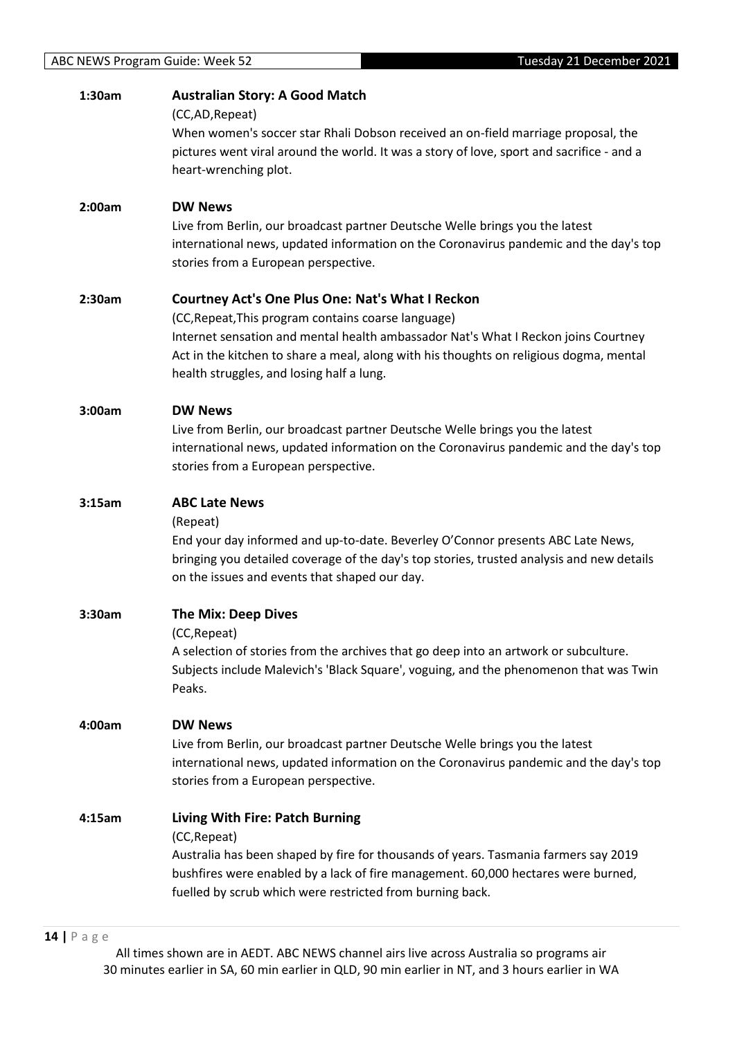| 1:30am | <b>Australian Story: A Good Match</b>                                                     |
|--------|-------------------------------------------------------------------------------------------|
|        | (CC,AD, Repeat)                                                                           |
|        | When women's soccer star Rhali Dobson received an on-field marriage proposal, the         |
|        | pictures went viral around the world. It was a story of love, sport and sacrifice - and a |
|        | heart-wrenching plot.                                                                     |
|        |                                                                                           |
| 2:00am | <b>DW News</b>                                                                            |
|        | Live from Berlin, our broadcast partner Deutsche Welle brings you the latest              |
|        | international news, updated information on the Coronavirus pandemic and the day's top     |
|        | stories from a European perspective.                                                      |
|        |                                                                                           |
| 2:30am | <b>Courtney Act's One Plus One: Nat's What I Reckon</b>                                   |
|        | (CC, Repeat, This program contains coarse language)                                       |
|        | Internet sensation and mental health ambassador Nat's What I Reckon joins Courtney        |
|        | Act in the kitchen to share a meal, along with his thoughts on religious dogma, mental    |
|        | health struggles, and losing half a lung.                                                 |
|        |                                                                                           |
| 3:00am | <b>DW News</b>                                                                            |
|        | Live from Berlin, our broadcast partner Deutsche Welle brings you the latest              |
|        | international news, updated information on the Coronavirus pandemic and the day's top     |
|        | stories from a European perspective.                                                      |
|        |                                                                                           |
| 3:15am | <b>ABC Late News</b>                                                                      |
|        | (Repeat)                                                                                  |
|        | End your day informed and up-to-date. Beverley O'Connor presents ABC Late News,           |
|        | bringing you detailed coverage of the day's top stories, trusted analysis and new details |
|        | on the issues and events that shaped our day.                                             |
| 3:30am | <b>The Mix: Deep Dives</b>                                                                |
|        | (CC, Repeat)                                                                              |
|        | A selection of stories from the archives that go deep into an artwork or subculture.      |
|        | Subjects include Malevich's 'Black Square', voguing, and the phenomenon that was Twin     |
|        | Peaks.                                                                                    |
|        |                                                                                           |
| 4:00am | <b>DW News</b>                                                                            |
|        | Live from Berlin, our broadcast partner Deutsche Welle brings you the latest              |
|        | international news, updated information on the Coronavirus pandemic and the day's top     |
|        | stories from a European perspective.                                                      |
|        |                                                                                           |
| 4:15am | Living With Fire: Patch Burning                                                           |
|        | (CC, Repeat)                                                                              |
|        | Australia has been shaped by fire for thousands of years. Tasmania farmers say 2019       |
|        | bushfires were enabled by a lack of fire management. 60,000 hectares were burned,         |
|        | fuelled by scrub which were restricted from burning back.                                 |
|        |                                                                                           |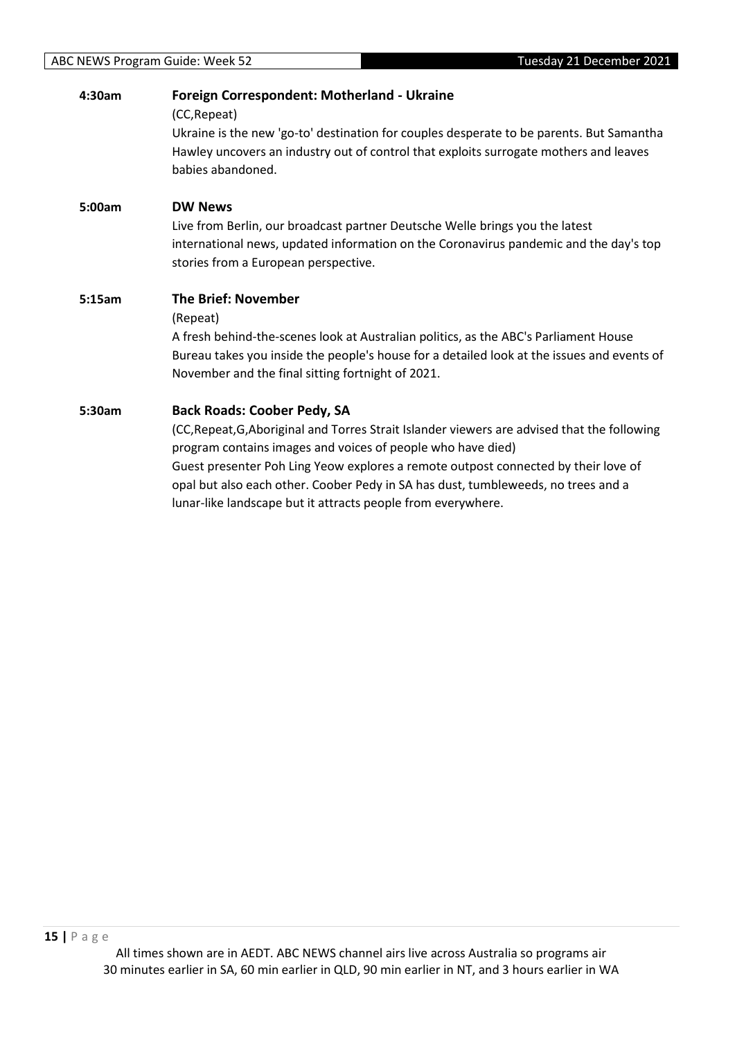| 4:30am | Foreign Correspondent: Motherland - Ukraine<br>(CC, Repeat)<br>Ukraine is the new 'go-to' destination for couples desperate to be parents. But Samantha<br>Hawley uncovers an industry out of control that exploits surrogate mothers and leaves<br>babies abandoned.                                                                                                                                                                        |
|--------|----------------------------------------------------------------------------------------------------------------------------------------------------------------------------------------------------------------------------------------------------------------------------------------------------------------------------------------------------------------------------------------------------------------------------------------------|
| 5:00am | <b>DW News</b><br>Live from Berlin, our broadcast partner Deutsche Welle brings you the latest<br>international news, updated information on the Coronavirus pandemic and the day's top<br>stories from a European perspective.                                                                                                                                                                                                              |
| 5:15am | <b>The Brief: November</b><br>(Repeat)<br>A fresh behind-the-scenes look at Australian politics, as the ABC's Parliament House<br>Bureau takes you inside the people's house for a detailed look at the issues and events of<br>November and the final sitting fortnight of 2021.                                                                                                                                                            |
| 5:30am | <b>Back Roads: Coober Pedy, SA</b><br>(CC, Repeat, G, Aboriginal and Torres Strait Islander viewers are advised that the following<br>program contains images and voices of people who have died)<br>Guest presenter Poh Ling Yeow explores a remote outpost connected by their love of<br>opal but also each other. Coober Pedy in SA has dust, tumbleweeds, no trees and a<br>lunar-like landscape but it attracts people from everywhere. |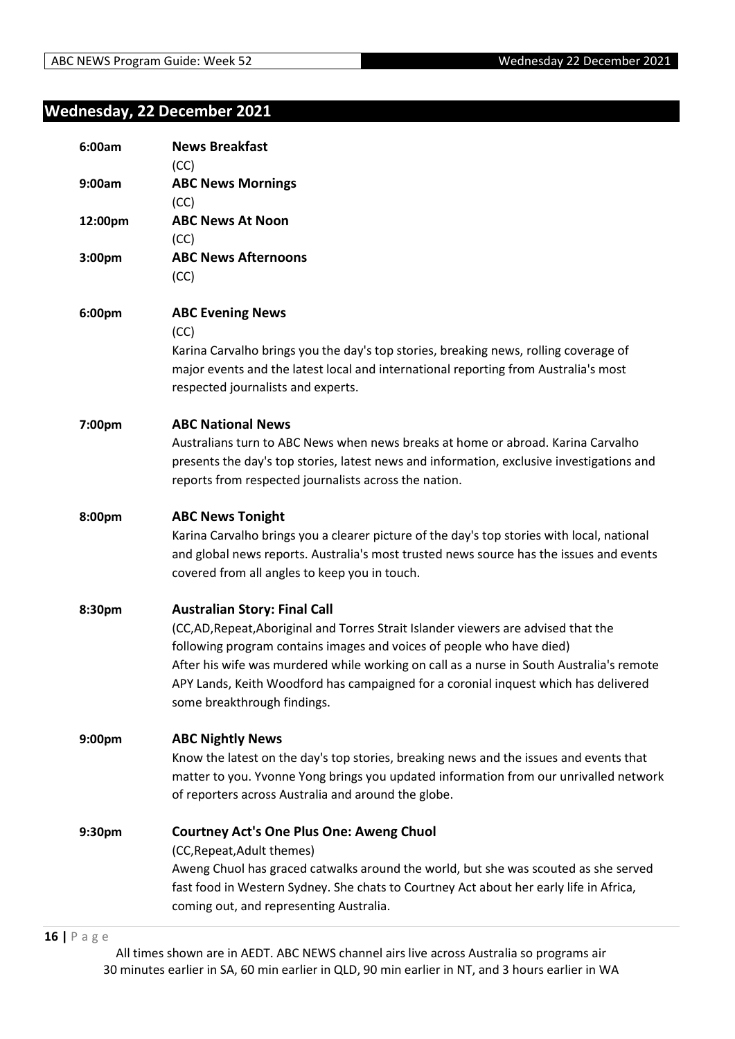# <span id="page-15-0"></span>**Wednesday, 22 December 2021**

| 6:00am  | <b>News Breakfast</b><br>(CC)                                                                                                                                                                                                                                                                                                                                                                                      |
|---------|--------------------------------------------------------------------------------------------------------------------------------------------------------------------------------------------------------------------------------------------------------------------------------------------------------------------------------------------------------------------------------------------------------------------|
| 9:00am  | <b>ABC News Mornings</b><br>(CC)                                                                                                                                                                                                                                                                                                                                                                                   |
| 12:00pm | <b>ABC News At Noon</b><br>(CC)                                                                                                                                                                                                                                                                                                                                                                                    |
| 3:00pm  | <b>ABC News Afternoons</b><br>(CC)                                                                                                                                                                                                                                                                                                                                                                                 |
| 6:00pm  | <b>ABC Evening News</b><br>(CC)<br>Karina Carvalho brings you the day's top stories, breaking news, rolling coverage of<br>major events and the latest local and international reporting from Australia's most<br>respected journalists and experts.                                                                                                                                                               |
| 7:00pm  | <b>ABC National News</b><br>Australians turn to ABC News when news breaks at home or abroad. Karina Carvalho<br>presents the day's top stories, latest news and information, exclusive investigations and<br>reports from respected journalists across the nation.                                                                                                                                                 |
| 8:00pm  | <b>ABC News Tonight</b><br>Karina Carvalho brings you a clearer picture of the day's top stories with local, national<br>and global news reports. Australia's most trusted news source has the issues and events<br>covered from all angles to keep you in touch.                                                                                                                                                  |
| 8:30pm  | <b>Australian Story: Final Call</b><br>(CC,AD,Repeat,Aboriginal and Torres Strait Islander viewers are advised that the<br>following program contains images and voices of people who have died)<br>After his wife was murdered while working on call as a nurse in South Australia's remote<br>APY Lands, Keith Woodford has campaigned for a coronial inquest which has delivered<br>some breakthrough findings. |
| 9:00pm  | <b>ABC Nightly News</b><br>Know the latest on the day's top stories, breaking news and the issues and events that<br>matter to you. Yvonne Yong brings you updated information from our unrivalled network<br>of reporters across Australia and around the globe.                                                                                                                                                  |
| 9:30pm  | <b>Courtney Act's One Plus One: Aweng Chuol</b><br>(CC, Repeat, Adult themes)<br>Aweng Chuol has graced catwalks around the world, but she was scouted as she served<br>fast food in Western Sydney. She chats to Courtney Act about her early life in Africa,<br>coming out, and representing Australia.                                                                                                          |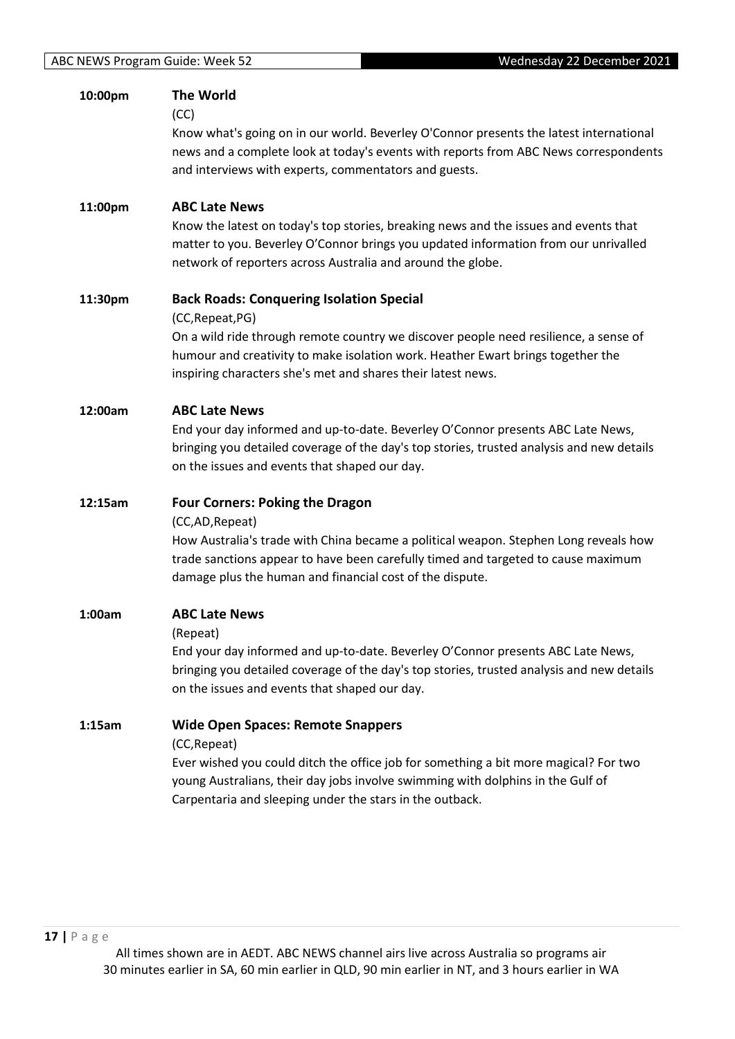| 10:00pm | <b>The World</b><br>(CC)<br>Know what's going on in our world. Beverley O'Connor presents the latest international<br>news and a complete look at today's events with reports from ABC News correspondents<br>and interviews with experts, commentators and guests.                                            |
|---------|----------------------------------------------------------------------------------------------------------------------------------------------------------------------------------------------------------------------------------------------------------------------------------------------------------------|
| 11:00pm | <b>ABC Late News</b><br>Know the latest on today's top stories, breaking news and the issues and events that<br>matter to you. Beverley O'Connor brings you updated information from our unrivalled<br>network of reporters across Australia and around the globe.                                             |
| 11:30pm | <b>Back Roads: Conquering Isolation Special</b><br>(CC, Repeat, PG)<br>On a wild ride through remote country we discover people need resilience, a sense of<br>humour and creativity to make isolation work. Heather Ewart brings together the<br>inspiring characters she's met and shares their latest news. |
| 12:00am | <b>ABC Late News</b><br>End your day informed and up-to-date. Beverley O'Connor presents ABC Late News,<br>bringing you detailed coverage of the day's top stories, trusted analysis and new details<br>on the issues and events that shaped our day.                                                          |
| 12:15am | <b>Four Corners: Poking the Dragon</b><br>(CC,AD, Repeat)<br>How Australia's trade with China became a political weapon. Stephen Long reveals how<br>trade sanctions appear to have been carefully timed and targeted to cause maximum<br>damage plus the human and financial cost of the dispute.             |
| 1:00am  | <b>ABC Late News</b><br>(Repeat)<br>End your day informed and up-to-date. Beverley O'Connor presents ABC Late News,<br>bringing you detailed coverage of the day's top stories, trusted analysis and new details<br>on the issues and events that shaped our day.                                              |
| 1:15am  | <b>Wide Open Spaces: Remote Snappers</b><br>(CC, Repeat)<br>Ever wished you could ditch the office job for something a bit more magical? For two<br>young Australians, their day jobs involve swimming with dolphins in the Gulf of<br>Carpentaria and sleeping under the stars in the outback.                |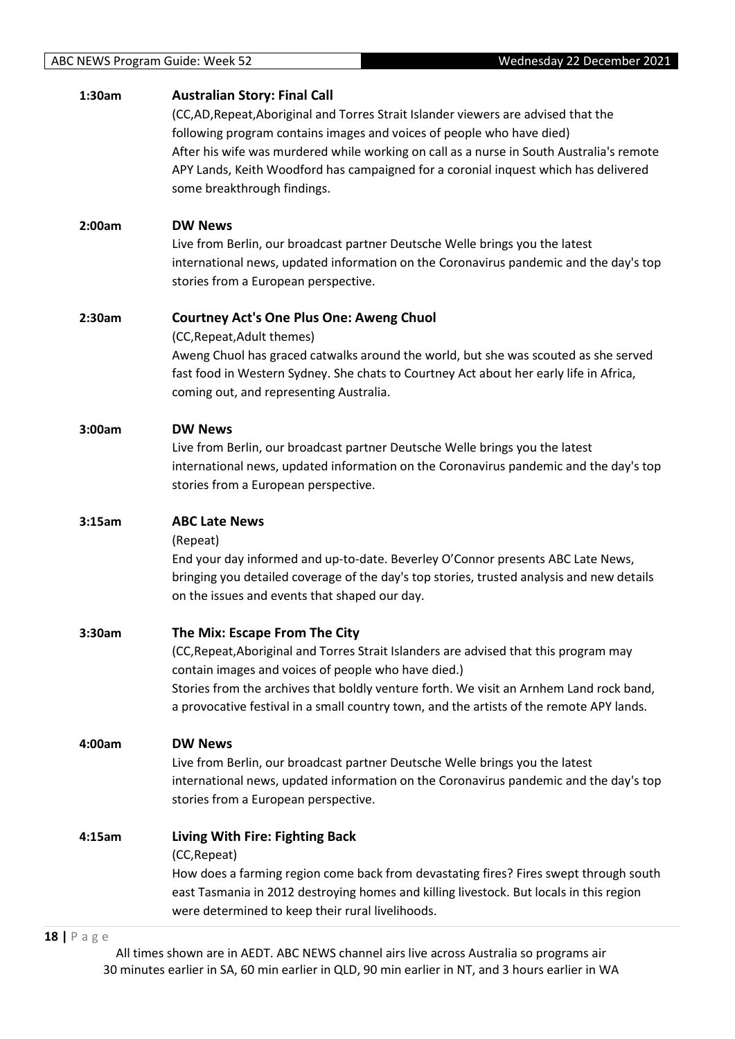| 1:30am | <b>Australian Story: Final Call</b><br>(CC,AD, Repeat, Aboriginal and Torres Strait Islander viewers are advised that the<br>following program contains images and voices of people who have died)<br>After his wife was murdered while working on call as a nurse in South Australia's remote<br>APY Lands, Keith Woodford has campaigned for a coronial inquest which has delivered<br>some breakthrough findings. |
|--------|----------------------------------------------------------------------------------------------------------------------------------------------------------------------------------------------------------------------------------------------------------------------------------------------------------------------------------------------------------------------------------------------------------------------|
| 2:00am | <b>DW News</b><br>Live from Berlin, our broadcast partner Deutsche Welle brings you the latest<br>international news, updated information on the Coronavirus pandemic and the day's top<br>stories from a European perspective.                                                                                                                                                                                      |
| 2:30am | <b>Courtney Act's One Plus One: Aweng Chuol</b><br>(CC, Repeat, Adult themes)<br>Aweng Chuol has graced catwalks around the world, but she was scouted as she served<br>fast food in Western Sydney. She chats to Courtney Act about her early life in Africa,<br>coming out, and representing Australia.                                                                                                            |
| 3:00am | <b>DW News</b><br>Live from Berlin, our broadcast partner Deutsche Welle brings you the latest<br>international news, updated information on the Coronavirus pandemic and the day's top<br>stories from a European perspective.                                                                                                                                                                                      |
| 3:15am | <b>ABC Late News</b><br>(Repeat)                                                                                                                                                                                                                                                                                                                                                                                     |
|        | End your day informed and up-to-date. Beverley O'Connor presents ABC Late News,<br>bringing you detailed coverage of the day's top stories, trusted analysis and new details<br>on the issues and events that shaped our day.                                                                                                                                                                                        |
| 3:30am | The Mix: Escape From The City<br>(CC, Repeat, Aboriginal and Torres Strait Islanders are advised that this program may<br>contain images and voices of people who have died.)<br>Stories from the archives that boldly venture forth. We visit an Arnhem Land rock band,<br>a provocative festival in a small country town, and the artists of the remote APY lands.                                                 |
| 4:00am | <b>DW News</b><br>Live from Berlin, our broadcast partner Deutsche Welle brings you the latest<br>international news, updated information on the Coronavirus pandemic and the day's top<br>stories from a European perspective.                                                                                                                                                                                      |

#### **18 |** P a g e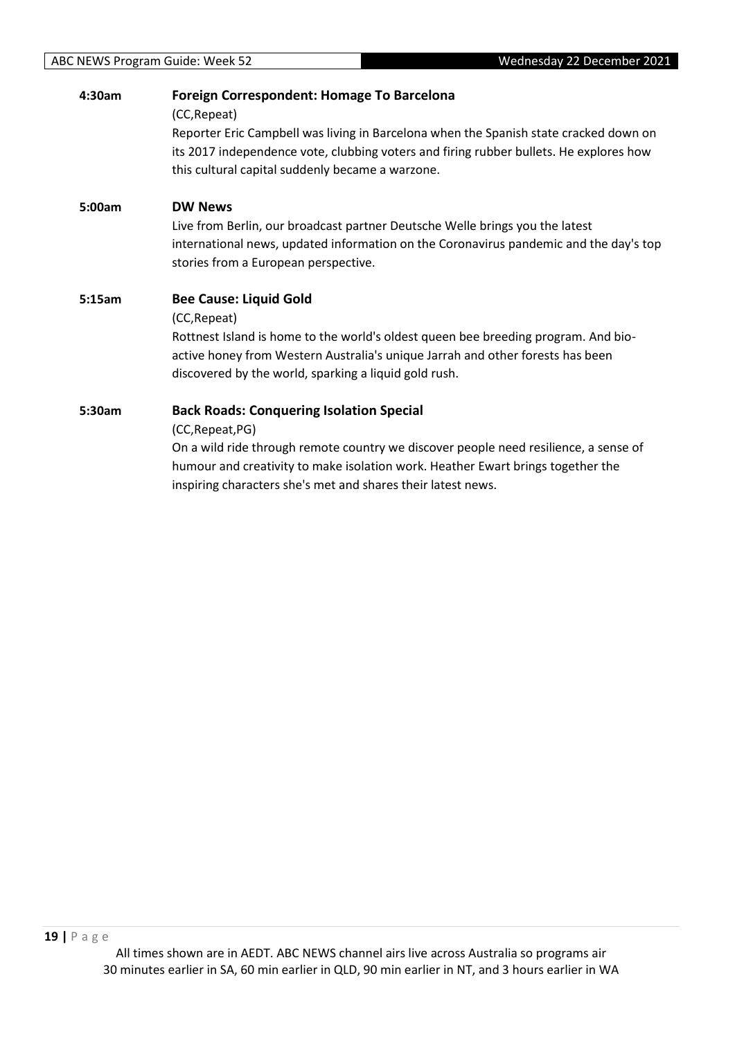| 4:30am | Foreign Correspondent: Homage To Barcelona<br>(CC, Repeat)<br>Reporter Eric Campbell was living in Barcelona when the Spanish state cracked down on<br>its 2017 independence vote, clubbing voters and firing rubber bullets. He explores how<br>this cultural capital suddenly became a warzone.              |
|--------|----------------------------------------------------------------------------------------------------------------------------------------------------------------------------------------------------------------------------------------------------------------------------------------------------------------|
| 5:00am | <b>DW News</b><br>Live from Berlin, our broadcast partner Deutsche Welle brings you the latest<br>international news, updated information on the Coronavirus pandemic and the day's top<br>stories from a European perspective.                                                                                |
| 5:15am | <b>Bee Cause: Liquid Gold</b><br>(CC, Repeat)<br>Rottnest Island is home to the world's oldest queen bee breeding program. And bio-<br>active honey from Western Australia's unique Jarrah and other forests has been<br>discovered by the world, sparking a liquid gold rush.                                 |
| 5:30am | <b>Back Roads: Conquering Isolation Special</b><br>(CC, Repeat, PG)<br>On a wild ride through remote country we discover people need resilience, a sense of<br>humour and creativity to make isolation work. Heather Ewart brings together the<br>inspiring characters she's met and shares their latest news. |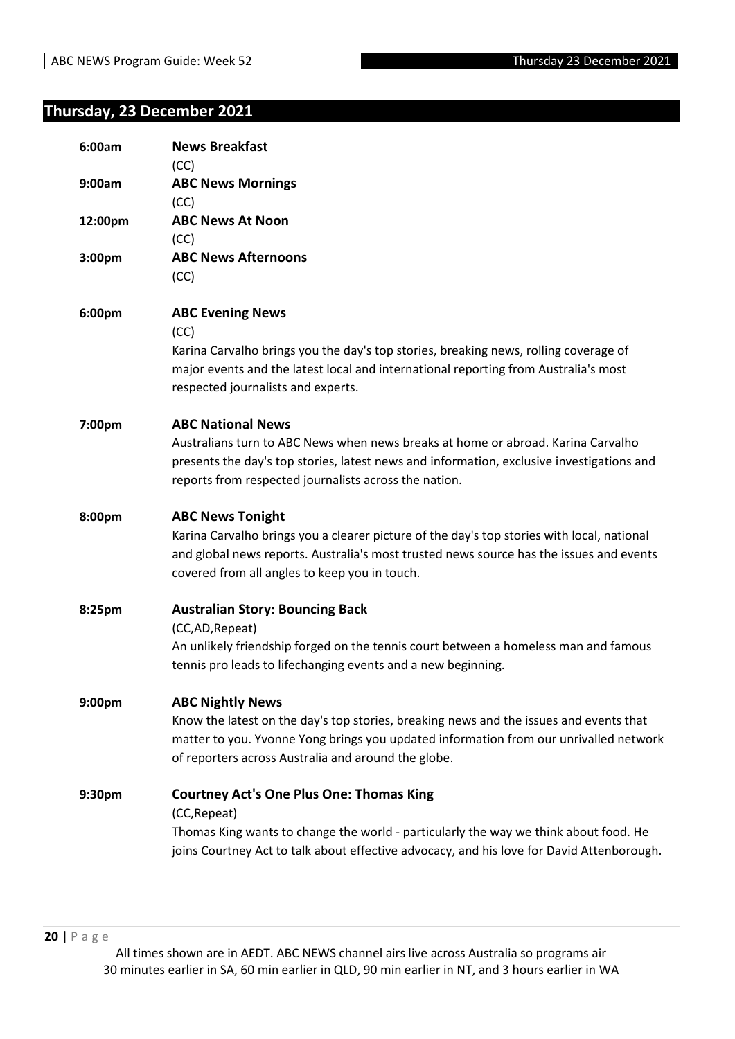# <span id="page-19-0"></span>**Thursday, 23 December 2021**

| 6:00am  | <b>News Breakfast</b><br>(CC)                                                                                                                                                                                                                                     |
|---------|-------------------------------------------------------------------------------------------------------------------------------------------------------------------------------------------------------------------------------------------------------------------|
| 9:00am  | <b>ABC News Mornings</b><br>(CC)                                                                                                                                                                                                                                  |
| 12:00pm | <b>ABC News At Noon</b><br>(CC)                                                                                                                                                                                                                                   |
| 3:00pm  | <b>ABC News Afternoons</b><br>(CC)                                                                                                                                                                                                                                |
| 6:00pm  | <b>ABC Evening News</b><br>(CC)                                                                                                                                                                                                                                   |
|         | Karina Carvalho brings you the day's top stories, breaking news, rolling coverage of<br>major events and the latest local and international reporting from Australia's most<br>respected journalists and experts.                                                 |
| 7:00pm  | <b>ABC National News</b>                                                                                                                                                                                                                                          |
|         | Australians turn to ABC News when news breaks at home or abroad. Karina Carvalho<br>presents the day's top stories, latest news and information, exclusive investigations and<br>reports from respected journalists across the nation.                            |
| 8:00pm  | <b>ABC News Tonight</b><br>Karina Carvalho brings you a clearer picture of the day's top stories with local, national<br>and global news reports. Australia's most trusted news source has the issues and events<br>covered from all angles to keep you in touch. |
| 8:25pm  | <b>Australian Story: Bouncing Back</b><br>(CC,AD, Repeat)                                                                                                                                                                                                         |
|         | An unlikely friendship forged on the tennis court between a homeless man and famous<br>tennis pro leads to lifechanging events and a new beginning.                                                                                                               |
| 9:00pm  | <b>ABC Nightly News</b>                                                                                                                                                                                                                                           |
|         | Know the latest on the day's top stories, breaking news and the issues and events that<br>matter to you. Yvonne Yong brings you updated information from our unrivalled network<br>of reporters across Australia and around the globe.                            |
| 9:30pm  | <b>Courtney Act's One Plus One: Thomas King</b>                                                                                                                                                                                                                   |
|         | (CC, Repeat)<br>Thomas King wants to change the world - particularly the way we think about food. He<br>joins Courtney Act to talk about effective advocacy, and his love for David Attenborough.                                                                 |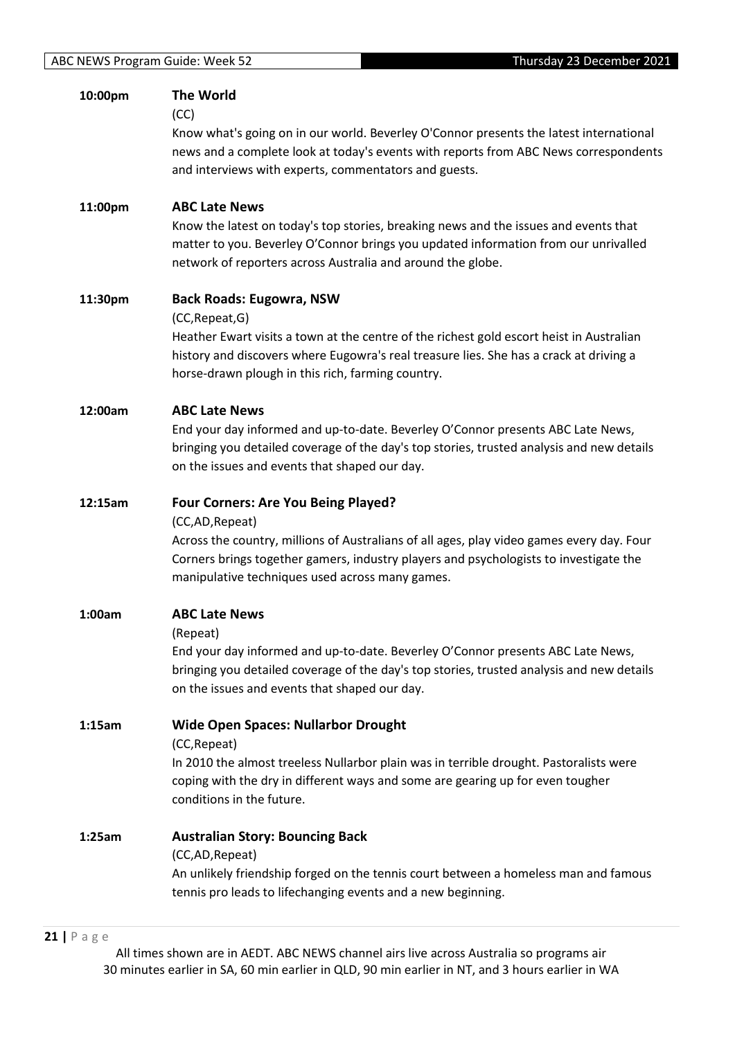| 10:00pm | <b>The World</b><br>(CC)<br>Know what's going on in our world. Beverley O'Connor presents the latest international<br>news and a complete look at today's events with reports from ABC News correspondents<br>and interviews with experts, commentators and guests.                                    |
|---------|--------------------------------------------------------------------------------------------------------------------------------------------------------------------------------------------------------------------------------------------------------------------------------------------------------|
| 11:00pm | <b>ABC Late News</b><br>Know the latest on today's top stories, breaking news and the issues and events that<br>matter to you. Beverley O'Connor brings you updated information from our unrivalled<br>network of reporters across Australia and around the globe.                                     |
| 11:30pm | <b>Back Roads: Eugowra, NSW</b><br>(CC, Repeat, G)<br>Heather Ewart visits a town at the centre of the richest gold escort heist in Australian<br>history and discovers where Eugowra's real treasure lies. She has a crack at driving a<br>horse-drawn plough in this rich, farming country.          |
| 12:00am | <b>ABC Late News</b><br>End your day informed and up-to-date. Beverley O'Connor presents ABC Late News,<br>bringing you detailed coverage of the day's top stories, trusted analysis and new details<br>on the issues and events that shaped our day.                                                  |
| 12:15am | <b>Four Corners: Are You Being Played?</b><br>(CC,AD, Repeat)<br>Across the country, millions of Australians of all ages, play video games every day. Four<br>Corners brings together gamers, industry players and psychologists to investigate the<br>manipulative techniques used across many games. |
| 1:00am  | <b>ABC Late News</b><br>(Repeat)<br>End your day informed and up-to-date. Beverley O'Connor presents ABC Late News,<br>bringing you detailed coverage of the day's top stories, trusted analysis and new details<br>on the issues and events that shaped our day.                                      |
| 1:15am  | <b>Wide Open Spaces: Nullarbor Drought</b><br>(CC, Repeat)<br>In 2010 the almost treeless Nullarbor plain was in terrible drought. Pastoralists were<br>coping with the dry in different ways and some are gearing up for even tougher<br>conditions in the future.                                    |
| 1:25am  | <b>Australian Story: Bouncing Back</b><br>(CC,AD, Repeat)<br>An unlikely friendship forged on the tennis court between a homeless man and famous<br>tennis pro leads to lifechanging events and a new beginning.                                                                                       |

#### **21 |** P a g e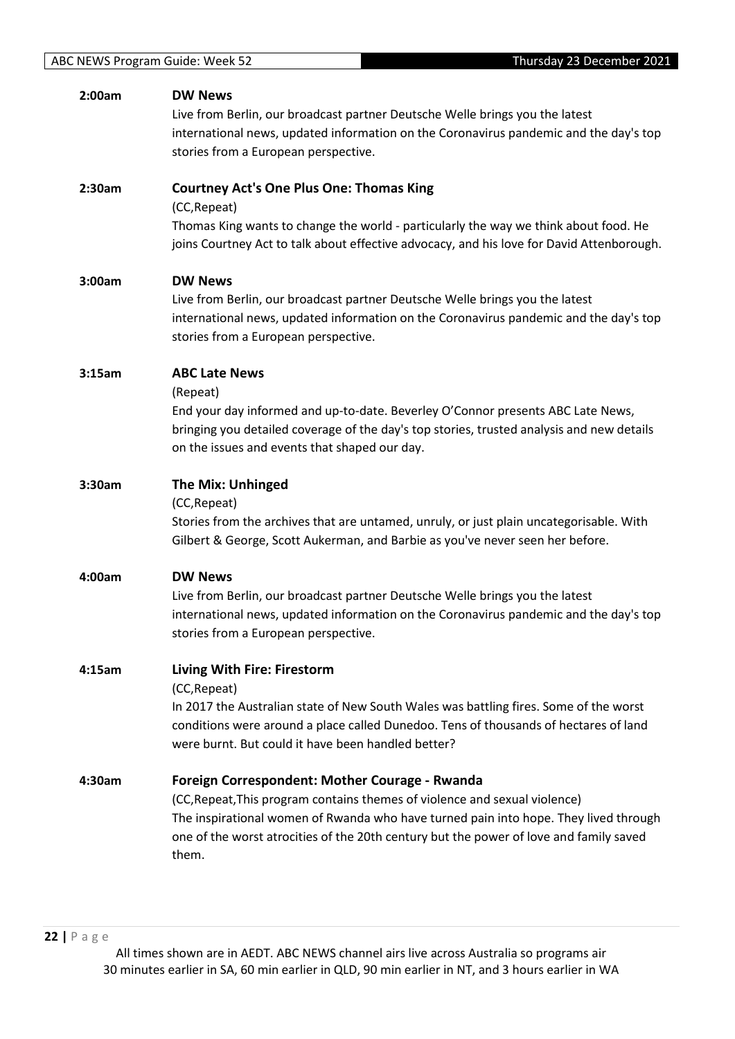| 2:00am | <b>DW News</b><br>Live from Berlin, our broadcast partner Deutsche Welle brings you the latest<br>international news, updated information on the Coronavirus pandemic and the day's top<br>stories from a European perspective.                                                                                         |
|--------|-------------------------------------------------------------------------------------------------------------------------------------------------------------------------------------------------------------------------------------------------------------------------------------------------------------------------|
| 2:30am | <b>Courtney Act's One Plus One: Thomas King</b><br>(CC, Repeat)<br>Thomas King wants to change the world - particularly the way we think about food. He<br>joins Courtney Act to talk about effective advocacy, and his love for David Attenborough.                                                                    |
| 3:00am | <b>DW News</b><br>Live from Berlin, our broadcast partner Deutsche Welle brings you the latest<br>international news, updated information on the Coronavirus pandemic and the day's top<br>stories from a European perspective.                                                                                         |
| 3:15am | <b>ABC Late News</b><br>(Repeat)<br>End your day informed and up-to-date. Beverley O'Connor presents ABC Late News,<br>bringing you detailed coverage of the day's top stories, trusted analysis and new details<br>on the issues and events that shaped our day.                                                       |
| 3:30am | <b>The Mix: Unhinged</b><br>(CC, Repeat)<br>Stories from the archives that are untamed, unruly, or just plain uncategorisable. With<br>Gilbert & George, Scott Aukerman, and Barbie as you've never seen her before.                                                                                                    |
| 4:00am | <b>DW News</b><br>Live from Berlin, our broadcast partner Deutsche Welle brings you the latest<br>international news, updated information on the Coronavirus pandemic and the day's top<br>stories from a European perspective.                                                                                         |
| 4:15am | <b>Living With Fire: Firestorm</b><br>(CC, Repeat)<br>In 2017 the Australian state of New South Wales was battling fires. Some of the worst<br>conditions were around a place called Dunedoo. Tens of thousands of hectares of land<br>were burnt. But could it have been handled better?                               |
| 4:30am | Foreign Correspondent: Mother Courage - Rwanda<br>(CC, Repeat, This program contains themes of violence and sexual violence)<br>The inspirational women of Rwanda who have turned pain into hope. They lived through<br>one of the worst atrocities of the 20th century but the power of love and family saved<br>them. |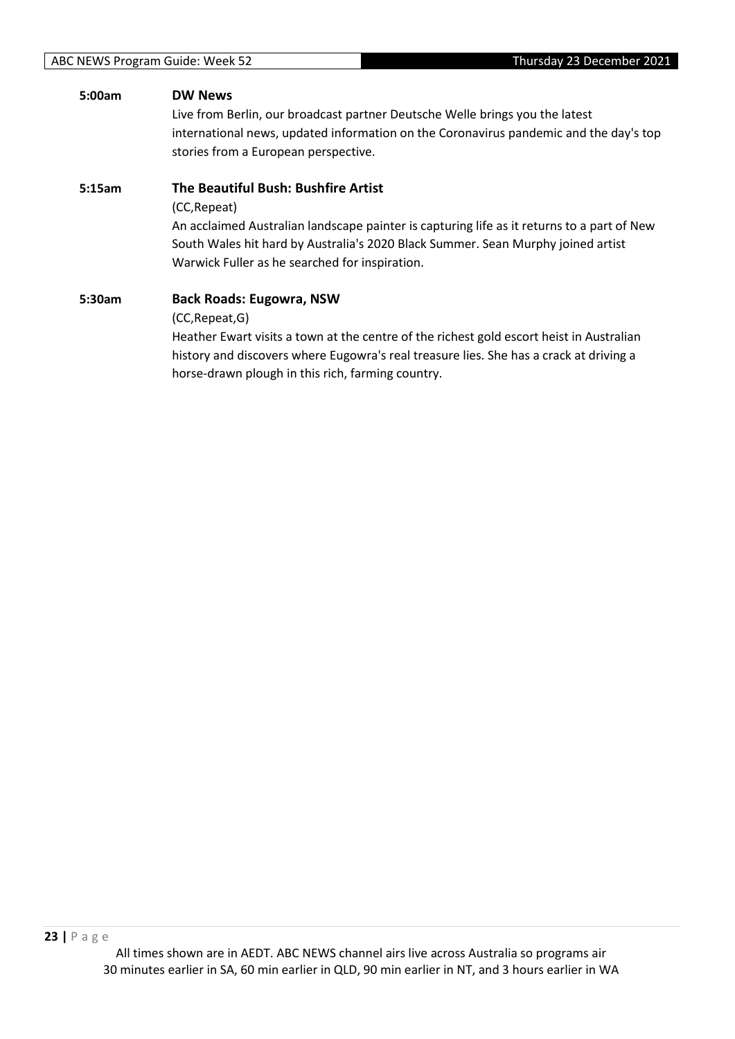### **5:00am DW News**

Live from Berlin, our broadcast partner Deutsche Welle brings you the latest international news, updated information on the Coronavirus pandemic and the day's top stories from a European perspective.

### **5:15am The Beautiful Bush: Bushfire Artist**

(CC,Repeat)

An acclaimed Australian landscape painter is capturing life as it returns to a part of New South Wales hit hard by Australia's 2020 Black Summer. Sean Murphy joined artist Warwick Fuller as he searched for inspiration.

# **5:30am Back Roads: Eugowra, NSW** (CC,Repeat,G) Heather Ewart visits a town at the centre of the richest gold escort heist in Australian

history and discovers where Eugowra's real treasure lies. She has a crack at driving a horse-drawn plough in this rich, farming country.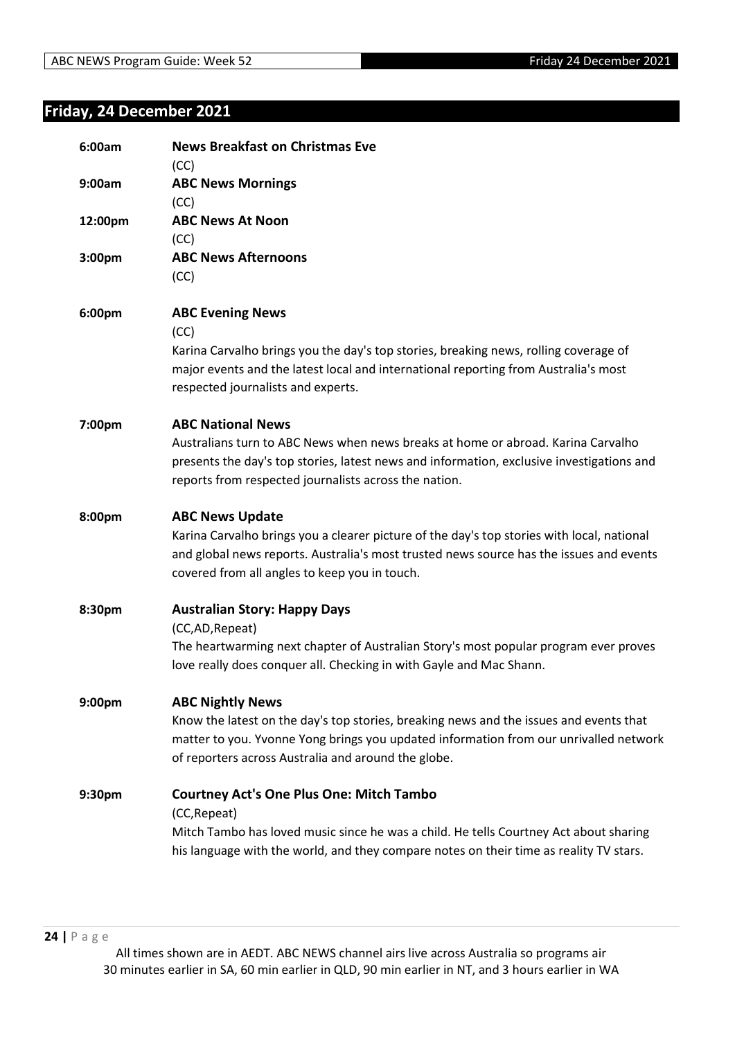# <span id="page-23-0"></span>**Friday, 24 December 2021**

| 6:00am             | <b>News Breakfast on Christmas Eve</b><br>(CC)                                                                                                                                                                                         |
|--------------------|----------------------------------------------------------------------------------------------------------------------------------------------------------------------------------------------------------------------------------------|
| 9:00am             | <b>ABC News Mornings</b><br>(CC)                                                                                                                                                                                                       |
| 12:00pm            | <b>ABC News At Noon</b><br>(CC)                                                                                                                                                                                                        |
| 3:00pm             | <b>ABC News Afternoons</b><br>(CC)                                                                                                                                                                                                     |
| 6:00pm             | <b>ABC Evening News</b><br>(CC)                                                                                                                                                                                                        |
|                    | Karina Carvalho brings you the day's top stories, breaking news, rolling coverage of<br>major events and the latest local and international reporting from Australia's most<br>respected journalists and experts.                      |
| 7:00pm             | <b>ABC National News</b>                                                                                                                                                                                                               |
|                    | Australians turn to ABC News when news breaks at home or abroad. Karina Carvalho<br>presents the day's top stories, latest news and information, exclusive investigations and<br>reports from respected journalists across the nation. |
| 8:00pm             | <b>ABC News Update</b>                                                                                                                                                                                                                 |
|                    | Karina Carvalho brings you a clearer picture of the day's top stories with local, national<br>and global news reports. Australia's most trusted news source has the issues and events<br>covered from all angles to keep you in touch. |
| 8:30pm             | <b>Australian Story: Happy Days</b><br>(CC,AD, Repeat)                                                                                                                                                                                 |
|                    | The heartwarming next chapter of Australian Story's most popular program ever proves<br>love really does conquer all. Checking in with Gayle and Mac Shann.                                                                            |
| 9:00 <sub>pm</sub> | <b>ABC Nightly News</b>                                                                                                                                                                                                                |
|                    | Know the latest on the day's top stories, breaking news and the issues and events that<br>matter to you. Yvonne Yong brings you updated information from our unrivalled network<br>of reporters across Australia and around the globe. |
| 9:30pm             | <b>Courtney Act's One Plus One: Mitch Tambo</b><br>(CC, Repeat)                                                                                                                                                                        |
|                    | Mitch Tambo has loved music since he was a child. He tells Courtney Act about sharing<br>his language with the world, and they compare notes on their time as reality TV stars.                                                        |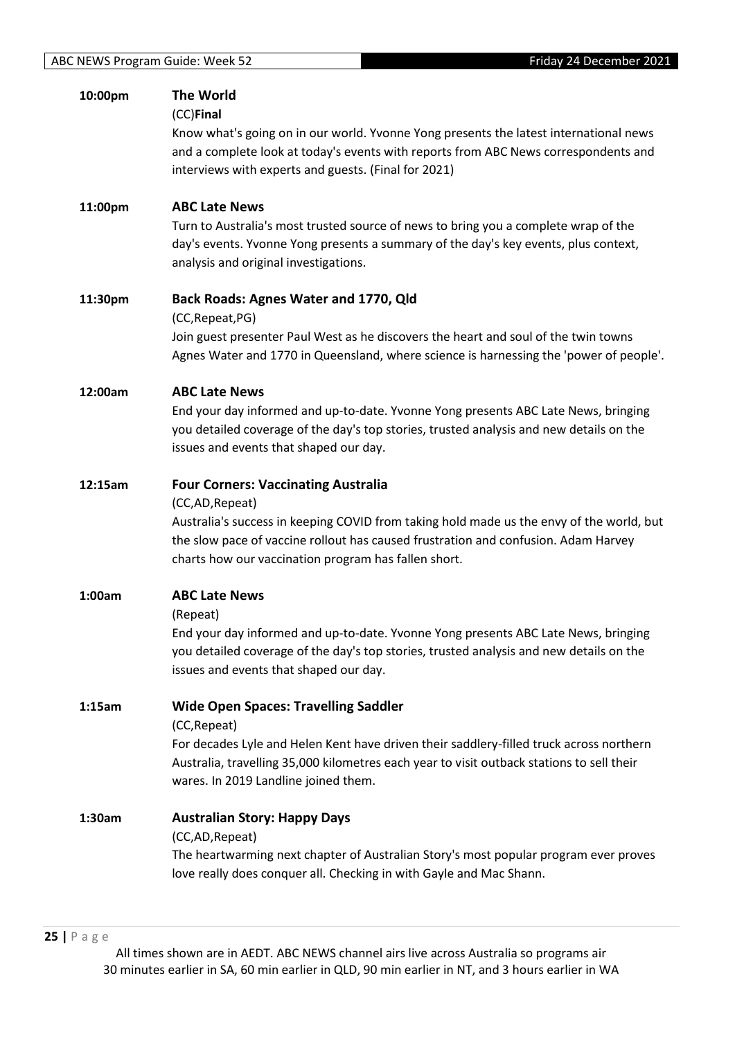| 10:00pm | <b>The World</b><br>(CC)Final<br>Know what's going on in our world. Yvonne Yong presents the latest international news<br>and a complete look at today's events with reports from ABC News correspondents and<br>interviews with experts and guests. (Final for 2021)                                   |
|---------|---------------------------------------------------------------------------------------------------------------------------------------------------------------------------------------------------------------------------------------------------------------------------------------------------------|
| 11:00pm | <b>ABC Late News</b><br>Turn to Australia's most trusted source of news to bring you a complete wrap of the<br>day's events. Yvonne Yong presents a summary of the day's key events, plus context,<br>analysis and original investigations.                                                             |
| 11:30pm | Back Roads: Agnes Water and 1770, Qld<br>(CC, Repeat, PG)<br>Join guest presenter Paul West as he discovers the heart and soul of the twin towns<br>Agnes Water and 1770 in Queensland, where science is harnessing the 'power of people'.                                                              |
| 12:00am | <b>ABC Late News</b><br>End your day informed and up-to-date. Yvonne Yong presents ABC Late News, bringing<br>you detailed coverage of the day's top stories, trusted analysis and new details on the<br>issues and events that shaped our day.                                                         |
| 12:15am | <b>Four Corners: Vaccinating Australia</b><br>(CC,AD, Repeat)<br>Australia's success in keeping COVID from taking hold made us the envy of the world, but<br>the slow pace of vaccine rollout has caused frustration and confusion. Adam Harvey<br>charts how our vaccination program has fallen short. |
| 1:00am  | <b>ABC Late News</b><br>(Repeat)<br>End your day informed and up-to-date. Yvonne Yong presents ABC Late News, bringing<br>you detailed coverage of the day's top stories, trusted analysis and new details on the<br>issues and events that shaped our day.                                             |
| 1:15am  | <b>Wide Open Spaces: Travelling Saddler</b><br>(CC, Repeat)<br>For decades Lyle and Helen Kent have driven their saddlery-filled truck across northern<br>Australia, travelling 35,000 kilometres each year to visit outback stations to sell their<br>wares. In 2019 Landline joined them.             |
| 1:30am  | <b>Australian Story: Happy Days</b><br>(CC,AD, Repeat)<br>The heartwarming next chapter of Australian Story's most popular program ever proves<br>love really does conquer all. Checking in with Gayle and Mac Shann.                                                                                   |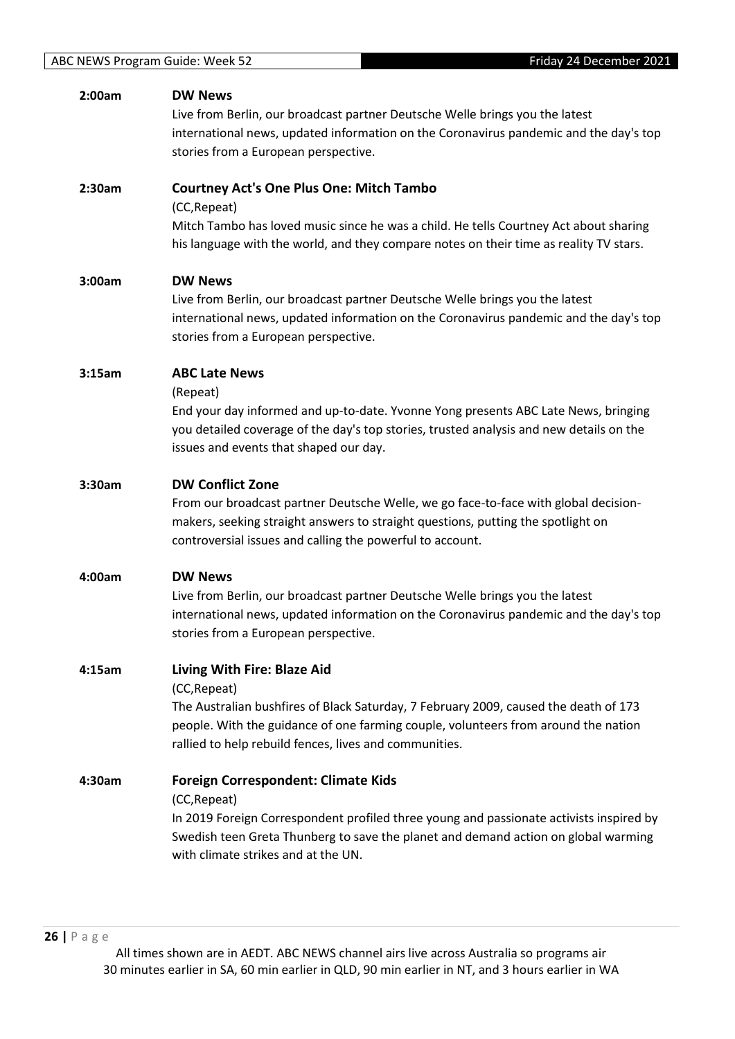| 2:00am | <b>DW News</b><br>Live from Berlin, our broadcast partner Deutsche Welle brings you the latest<br>international news, updated information on the Coronavirus pandemic and the day's top<br>stories from a European perspective.                                                     |
|--------|-------------------------------------------------------------------------------------------------------------------------------------------------------------------------------------------------------------------------------------------------------------------------------------|
| 2:30am | <b>Courtney Act's One Plus One: Mitch Tambo</b><br>(CC, Repeat)<br>Mitch Tambo has loved music since he was a child. He tells Courtney Act about sharing<br>his language with the world, and they compare notes on their time as reality TV stars.                                  |
| 3:00am | <b>DW News</b><br>Live from Berlin, our broadcast partner Deutsche Welle brings you the latest<br>international news, updated information on the Coronavirus pandemic and the day's top<br>stories from a European perspective.                                                     |
| 3:15am | <b>ABC Late News</b><br>(Repeat)<br>End your day informed and up-to-date. Yvonne Yong presents ABC Late News, bringing<br>you detailed coverage of the day's top stories, trusted analysis and new details on the<br>issues and events that shaped our day.                         |
| 3:30am | <b>DW Conflict Zone</b><br>From our broadcast partner Deutsche Welle, we go face-to-face with global decision-<br>makers, seeking straight answers to straight questions, putting the spotlight on<br>controversial issues and calling the powerful to account.                     |
| 4:00am | <b>DW News</b><br>Live from Berlin, our broadcast partner Deutsche Welle brings you the latest<br>international news, updated information on the Coronavirus pandemic and the day's top<br>stories from a European perspective.                                                     |
| 4:15am | Living With Fire: Blaze Aid<br>(CC, Repeat)<br>The Australian bushfires of Black Saturday, 7 February 2009, caused the death of 173<br>people. With the guidance of one farming couple, volunteers from around the nation<br>rallied to help rebuild fences, lives and communities. |
| 4:30am | <b>Foreign Correspondent: Climate Kids</b><br>(CC, Repeat)<br>In 2019 Foreign Correspondent profiled three young and passionate activists inspired by<br>Swedish teen Greta Thunberg to save the planet and demand action on global warming<br>with climate strikes and at the UN.  |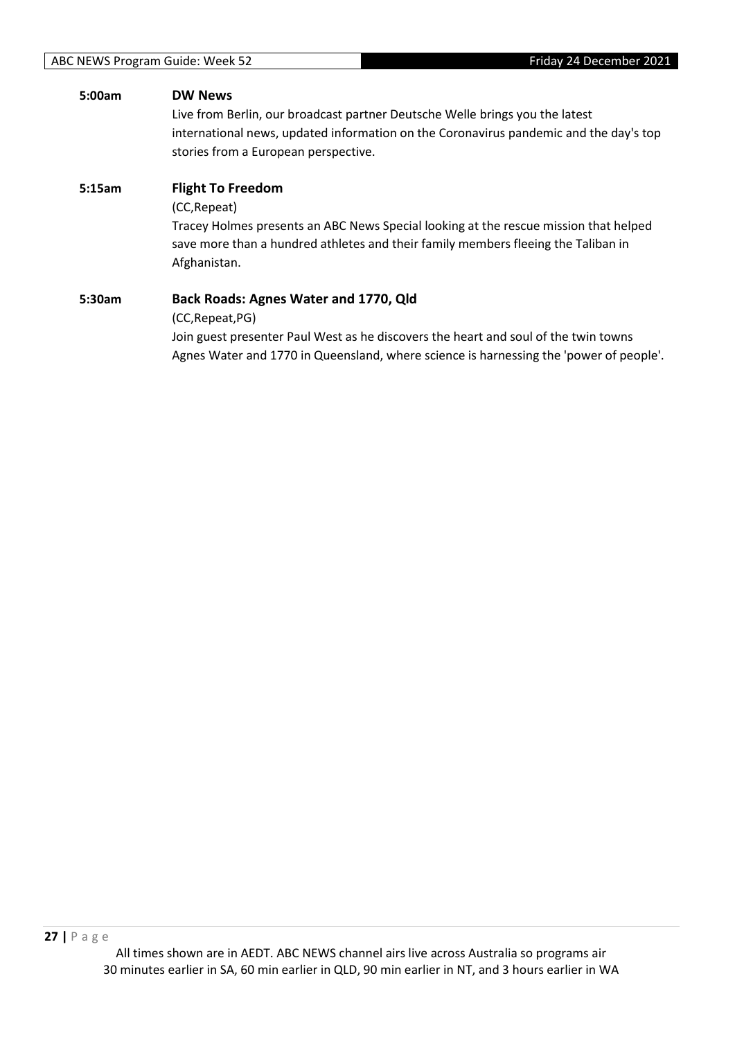# **5:00am DW News** Live from Berlin, our broadcast partner Deutsche Welle brings you the latest international news, updated information on the Coronavirus pandemic and the day's top stories from a European perspective. **5:15am Flight To Freedom** (CC,Repeat) Tracey Holmes presents an ABC News Special looking at the rescue mission that helped save more than a hundred athletes and their family members fleeing the Taliban in Afghanistan. **5:30am Back Roads: Agnes Water and 1770, Qld** (CC,Repeat,PG) Join guest presenter Paul West as he discovers the heart and soul of the twin towns Agnes Water and 1770 in Queensland, where science is harnessing the 'power of people'.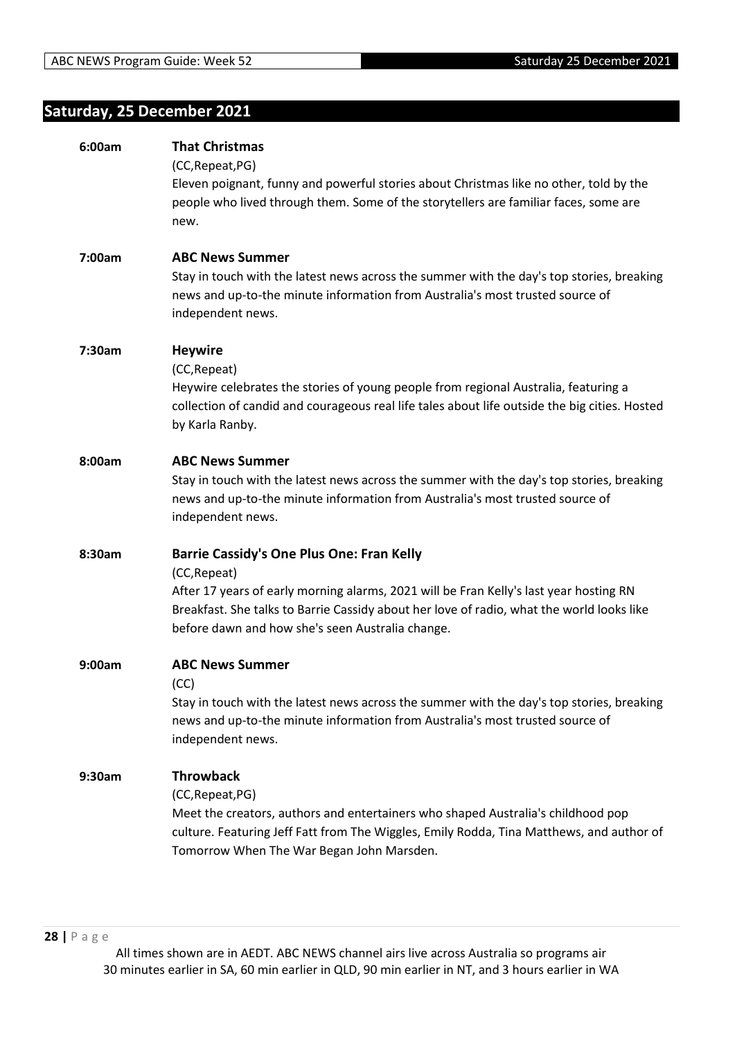# <span id="page-27-0"></span>**Saturday, 25 December 2021**

| 6:00am | <b>That Christmas</b>                                                                         |
|--------|-----------------------------------------------------------------------------------------------|
|        | (CC, Repeat, PG)                                                                              |
|        | Eleven poignant, funny and powerful stories about Christmas like no other, told by the        |
|        | people who lived through them. Some of the storytellers are familiar faces, some are<br>new.  |
|        |                                                                                               |
| 7:00am | <b>ABC News Summer</b>                                                                        |
|        | Stay in touch with the latest news across the summer with the day's top stories, breaking     |
|        | news and up-to-the minute information from Australia's most trusted source of                 |
|        | independent news.                                                                             |
| 7:30am | <b>Heywire</b>                                                                                |
|        | (CC, Repeat)                                                                                  |
|        | Heywire celebrates the stories of young people from regional Australia, featuring a           |
|        | collection of candid and courageous real life tales about life outside the big cities. Hosted |
|        | by Karla Ranby.                                                                               |
| 8:00am | <b>ABC News Summer</b>                                                                        |
|        | Stay in touch with the latest news across the summer with the day's top stories, breaking     |
|        | news and up-to-the minute information from Australia's most trusted source of                 |
|        | independent news.                                                                             |
| 8:30am | <b>Barrie Cassidy's One Plus One: Fran Kelly</b>                                              |
|        | (CC, Repeat)                                                                                  |
|        | After 17 years of early morning alarms, 2021 will be Fran Kelly's last year hosting RN        |
|        | Breakfast. She talks to Barrie Cassidy about her love of radio, what the world looks like     |
|        | before dawn and how she's seen Australia change.                                              |
| 9:00am | <b>ABC News Summer</b>                                                                        |
|        | (CC)                                                                                          |
|        | Stay in touch with the latest news across the summer with the day's top stories, breaking     |
|        | news and up-to-the minute information from Australia's most trusted source of                 |
|        | independent news.                                                                             |
| 9:30am | <b>Throwback</b>                                                                              |
|        | (CC, Repeat, PG)                                                                              |
|        | Meet the creators, authors and entertainers who shaped Australia's childhood pop              |
|        | culture. Featuring Jeff Fatt from The Wiggles, Emily Rodda, Tina Matthews, and author of      |
|        | Tomorrow When The War Began John Marsden.                                                     |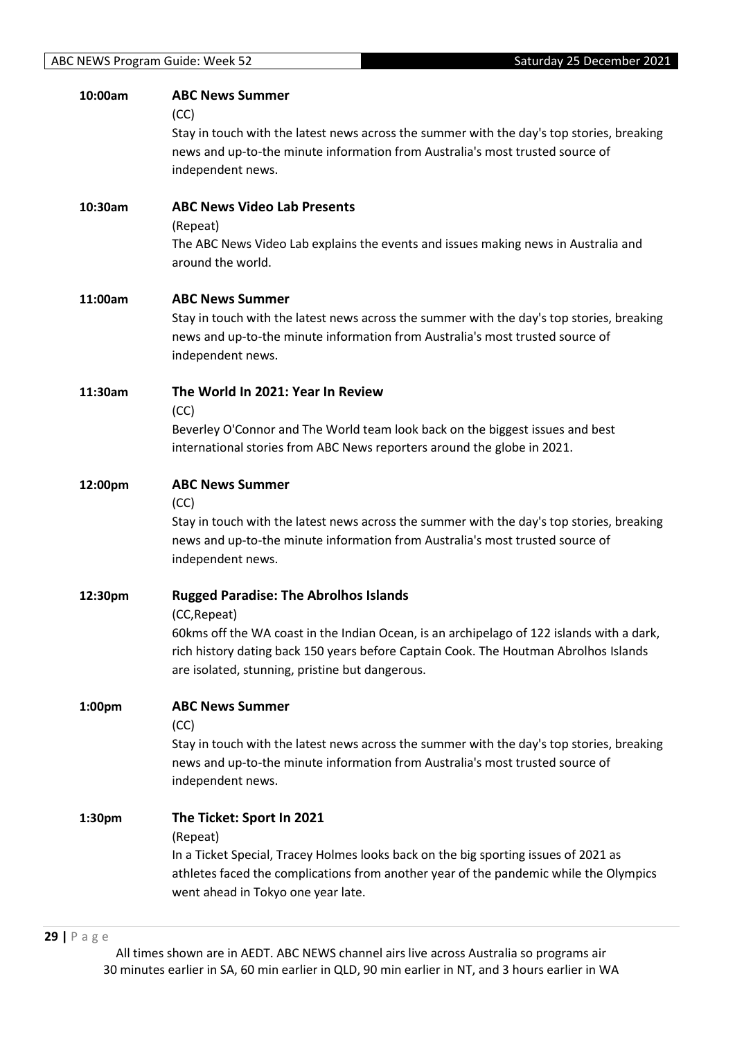| 10:00am | <b>ABC News Summer</b>                                                                                                                                                            |
|---------|-----------------------------------------------------------------------------------------------------------------------------------------------------------------------------------|
|         | (CC)                                                                                                                                                                              |
|         | Stay in touch with the latest news across the summer with the day's top stories, breaking<br>news and up-to-the minute information from Australia's most trusted source of        |
|         | independent news.                                                                                                                                                                 |
|         |                                                                                                                                                                                   |
| 10:30am | <b>ABC News Video Lab Presents</b>                                                                                                                                                |
|         | (Repeat)                                                                                                                                                                          |
|         | The ABC News Video Lab explains the events and issues making news in Australia and<br>around the world.                                                                           |
|         |                                                                                                                                                                                   |
| 11:00am | <b>ABC News Summer</b>                                                                                                                                                            |
|         | Stay in touch with the latest news across the summer with the day's top stories, breaking                                                                                         |
|         | news and up-to-the minute information from Australia's most trusted source of                                                                                                     |
|         | independent news.                                                                                                                                                                 |
| 11:30am | The World In 2021: Year In Review                                                                                                                                                 |
|         | (CC)                                                                                                                                                                              |
|         | Beverley O'Connor and The World team look back on the biggest issues and best                                                                                                     |
|         | international stories from ABC News reporters around the globe in 2021.                                                                                                           |
| 12:00pm | <b>ABC News Summer</b>                                                                                                                                                            |
|         | (CC)                                                                                                                                                                              |
|         | Stay in touch with the latest news across the summer with the day's top stories, breaking                                                                                         |
|         | news and up-to-the minute information from Australia's most trusted source of<br>independent news.                                                                                |
|         |                                                                                                                                                                                   |
| 12:30pm | <b>Rugged Paradise: The Abrolhos Islands</b>                                                                                                                                      |
|         | (CC, Repeat)                                                                                                                                                                      |
|         | 60kms off the WA coast in the Indian Ocean, is an archipelago of 122 islands with a dark,<br>rich history dating back 150 years before Captain Cook. The Houtman Abrolhos Islands |
|         | are isolated, stunning, pristine but dangerous.                                                                                                                                   |
|         |                                                                                                                                                                                   |
| 1:00pm  | <b>ABC News Summer</b>                                                                                                                                                            |
|         | (CC)<br>Stay in touch with the latest news across the summer with the day's top stories, breaking                                                                                 |
|         | news and up-to-the minute information from Australia's most trusted source of                                                                                                     |
|         | independent news.                                                                                                                                                                 |
|         |                                                                                                                                                                                   |
| 1:30pm  | The Ticket: Sport In 2021<br>(Repeat)                                                                                                                                             |
|         | In a Ticket Special, Tracey Holmes looks back on the big sporting issues of 2021 as                                                                                               |
|         | athletes faced the complications from another year of the pandemic while the Olympics                                                                                             |
|         | went ahead in Tokyo one year late.                                                                                                                                                |
|         |                                                                                                                                                                                   |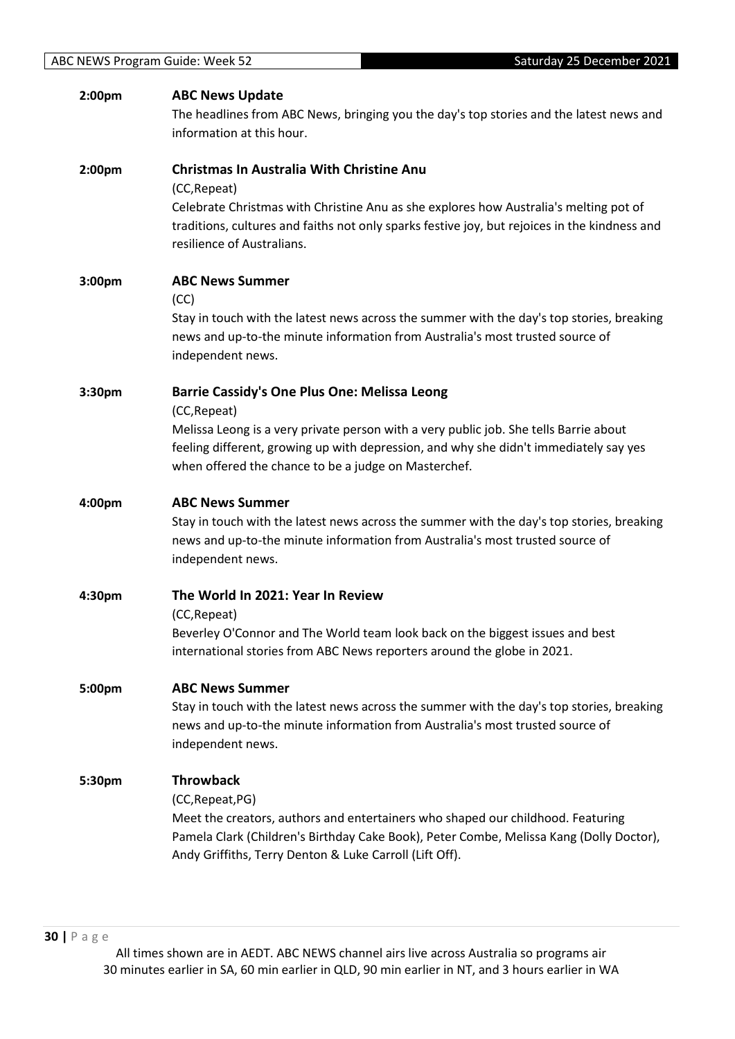| 2:00pm | <b>ABC News Update</b><br>The headlines from ABC News, bringing you the day's top stories and the latest news and<br>information at this hour.                                                                                                                                                                |
|--------|---------------------------------------------------------------------------------------------------------------------------------------------------------------------------------------------------------------------------------------------------------------------------------------------------------------|
| 2:00pm | Christmas In Australia With Christine Anu<br>(CC, Repeat)<br>Celebrate Christmas with Christine Anu as she explores how Australia's melting pot of<br>traditions, cultures and faiths not only sparks festive joy, but rejoices in the kindness and<br>resilience of Australians.                             |
| 3:00pm | <b>ABC News Summer</b><br>(CC)<br>Stay in touch with the latest news across the summer with the day's top stories, breaking<br>news and up-to-the minute information from Australia's most trusted source of<br>independent news.                                                                             |
| 3:30pm | <b>Barrie Cassidy's One Plus One: Melissa Leong</b><br>(CC, Repeat)<br>Melissa Leong is a very private person with a very public job. She tells Barrie about<br>feeling different, growing up with depression, and why she didn't immediately say yes<br>when offered the chance to be a judge on Masterchef. |
| 4:00pm | <b>ABC News Summer</b><br>Stay in touch with the latest news across the summer with the day's top stories, breaking<br>news and up-to-the minute information from Australia's most trusted source of<br>independent news.                                                                                     |
| 4:30pm | The World In 2021: Year In Review<br>(CC, Repeat)<br>Beverley O'Connor and The World team look back on the biggest issues and best<br>international stories from ABC News reporters around the globe in 2021.                                                                                                 |
| 5:00pm | <b>ABC News Summer</b><br>Stay in touch with the latest news across the summer with the day's top stories, breaking<br>news and up-to-the minute information from Australia's most trusted source of<br>independent news.                                                                                     |
| 5:30pm | <b>Throwback</b><br>(CC, Repeat, PG)<br>Meet the creators, authors and entertainers who shaped our childhood. Featuring<br>Pamela Clark (Children's Birthday Cake Book), Peter Combe, Melissa Kang (Dolly Doctor),<br>Andy Griffiths, Terry Denton & Luke Carroll (Lift Off).                                 |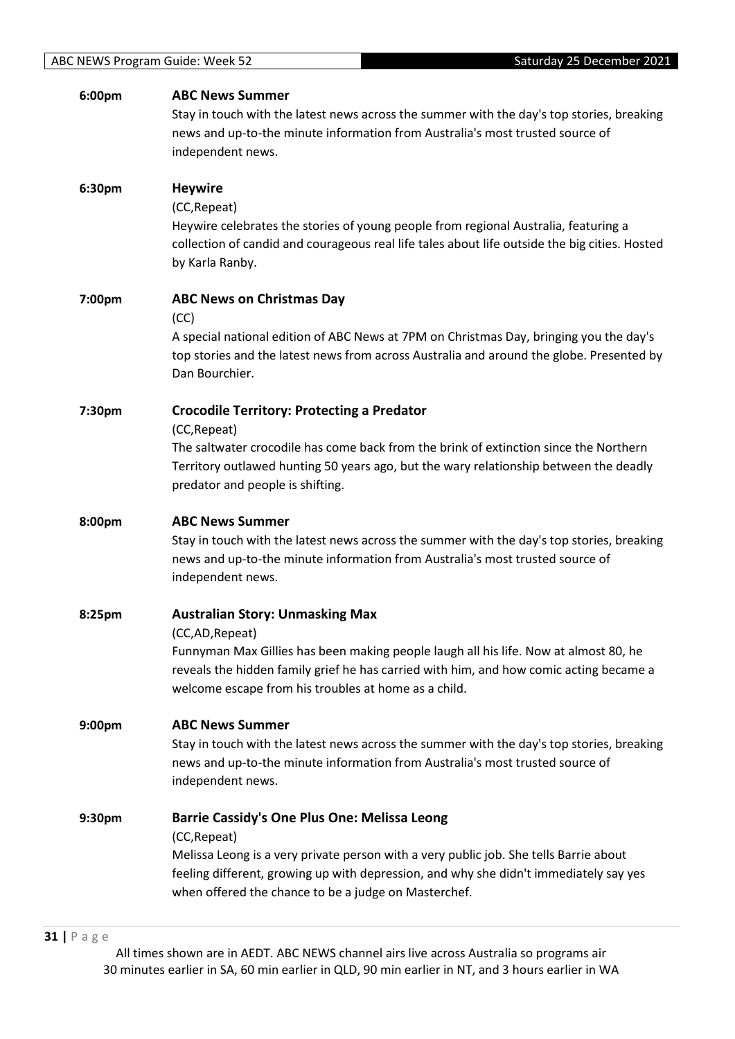| 6:00pm | <b>ABC News Summer</b>                                                                                                                                                                                                                 |
|--------|----------------------------------------------------------------------------------------------------------------------------------------------------------------------------------------------------------------------------------------|
|        | Stay in touch with the latest news across the summer with the day's top stories, breaking<br>news and up-to-the minute information from Australia's most trusted source of                                                             |
|        | independent news.                                                                                                                                                                                                                      |
| 6:30pm | <b>Heywire</b>                                                                                                                                                                                                                         |
|        | (CC, Repeat)                                                                                                                                                                                                                           |
|        | Heywire celebrates the stories of young people from regional Australia, featuring a<br>collection of candid and courageous real life tales about life outside the big cities. Hosted<br>by Karla Ranby.                                |
| 7:00pm | <b>ABC News on Christmas Day</b>                                                                                                                                                                                                       |
|        | (CC)<br>A special national edition of ABC News at 7PM on Christmas Day, bringing you the day's                                                                                                                                         |
|        | top stories and the latest news from across Australia and around the globe. Presented by<br>Dan Bourchier.                                                                                                                             |
| 7:30pm | <b>Crocodile Territory: Protecting a Predator</b>                                                                                                                                                                                      |
|        | (CC, Repeat)<br>The saltwater crocodile has come back from the brink of extinction since the Northern                                                                                                                                  |
|        | Territory outlawed hunting 50 years ago, but the wary relationship between the deadly                                                                                                                                                  |
|        | predator and people is shifting.                                                                                                                                                                                                       |
| 8:00pm | <b>ABC News Summer</b>                                                                                                                                                                                                                 |
|        | Stay in touch with the latest news across the summer with the day's top stories, breaking<br>news and up-to-the minute information from Australia's most trusted source of<br>independent news.                                        |
|        |                                                                                                                                                                                                                                        |
| 8:25pm | <b>Australian Story: Unmasking Max</b><br>(CC,AD, Repeat)                                                                                                                                                                              |
|        | Funnyman Max Gillies has been making people laugh all his life. Now at almost 80, he                                                                                                                                                   |
|        | reveals the hidden family grief he has carried with him, and how comic acting became a<br>welcome escape from his troubles at home as a child.                                                                                         |
|        |                                                                                                                                                                                                                                        |
| 9:00pm | <b>ABC News Summer</b>                                                                                                                                                                                                                 |
|        | Stay in touch with the latest news across the summer with the day's top stories, breaking                                                                                                                                              |
|        | news and up-to-the minute information from Australia's most trusted source of<br>independent news.                                                                                                                                     |
| 9:30pm | <b>Barrie Cassidy's One Plus One: Melissa Leong</b>                                                                                                                                                                                    |
|        | (CC, Repeat)                                                                                                                                                                                                                           |
|        | Melissa Leong is a very private person with a very public job. She tells Barrie about<br>feeling different, growing up with depression, and why she didn't immediately say yes<br>when offered the chance to be a judge on Masterchef. |
|        |                                                                                                                                                                                                                                        |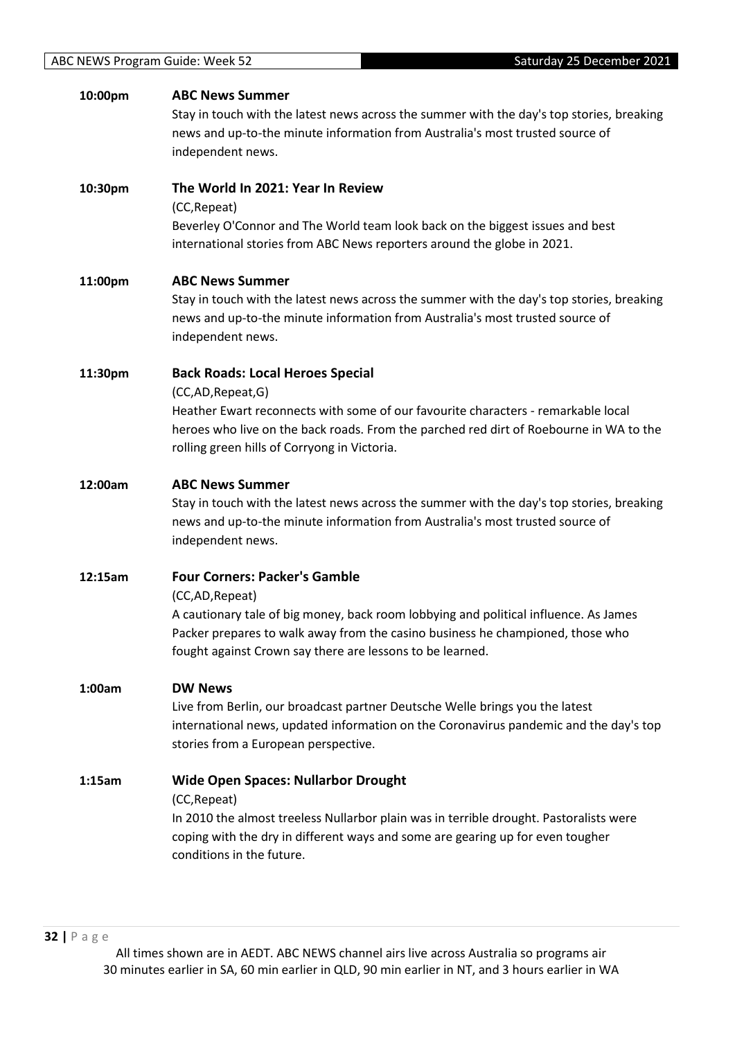| 10:00pm | <b>ABC News Summer</b><br>Stay in touch with the latest news across the summer with the day's top stories, breaking<br>news and up-to-the minute information from Australia's most trusted source of<br>independent news.                                                                      |
|---------|------------------------------------------------------------------------------------------------------------------------------------------------------------------------------------------------------------------------------------------------------------------------------------------------|
| 10:30pm | The World In 2021: Year In Review<br>(CC, Repeat)<br>Beverley O'Connor and The World team look back on the biggest issues and best<br>international stories from ABC News reporters around the globe in 2021.                                                                                  |
| 11:00pm | <b>ABC News Summer</b><br>Stay in touch with the latest news across the summer with the day's top stories, breaking<br>news and up-to-the minute information from Australia's most trusted source of<br>independent news.                                                                      |
| 11:30pm | <b>Back Roads: Local Heroes Special</b><br>(CC,AD,Repeat,G)<br>Heather Ewart reconnects with some of our favourite characters - remarkable local<br>heroes who live on the back roads. From the parched red dirt of Roebourne in WA to the<br>rolling green hills of Corryong in Victoria.     |
| 12:00am | <b>ABC News Summer</b><br>Stay in touch with the latest news across the summer with the day's top stories, breaking<br>news and up-to-the minute information from Australia's most trusted source of<br>independent news.                                                                      |
| 12:15am | <b>Four Corners: Packer's Gamble</b><br>(CC,AD, Repeat)<br>A cautionary tale of big money, back room lobbying and political influence. As James<br>Packer prepares to walk away from the casino business he championed, those who<br>fought against Crown say there are lessons to be learned. |
| 1:00am  | <b>DW News</b><br>Live from Berlin, our broadcast partner Deutsche Welle brings you the latest<br>international news, updated information on the Coronavirus pandemic and the day's top<br>stories from a European perspective.                                                                |
| 1:15am  | <b>Wide Open Spaces: Nullarbor Drought</b><br>(CC, Repeat)<br>In 2010 the almost treeless Nullarbor plain was in terrible drought. Pastoralists were<br>coping with the dry in different ways and some are gearing up for even tougher<br>conditions in the future.                            |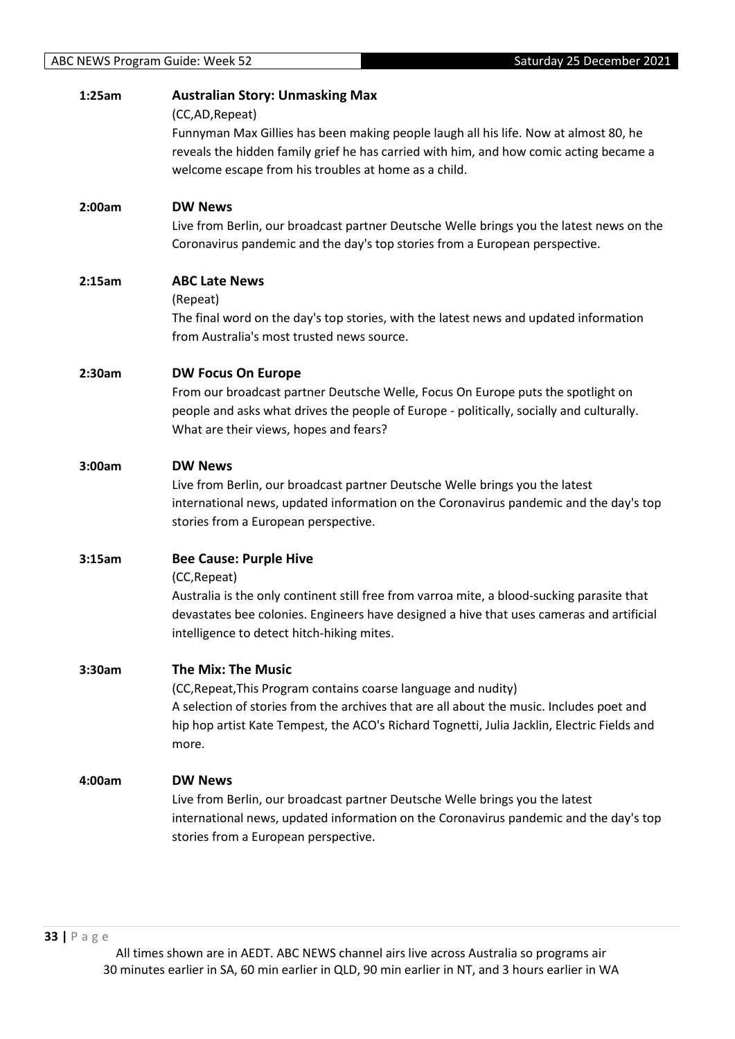| 1:25am | <b>Australian Story: Unmasking Max</b><br>(CC,AD,Repeat)<br>Funnyman Max Gillies has been making people laugh all his life. Now at almost 80, he<br>reveals the hidden family grief he has carried with him, and how comic acting became a<br>welcome escape from his troubles at home as a child. |
|--------|----------------------------------------------------------------------------------------------------------------------------------------------------------------------------------------------------------------------------------------------------------------------------------------------------|
| 2:00am | <b>DW News</b><br>Live from Berlin, our broadcast partner Deutsche Welle brings you the latest news on the<br>Coronavirus pandemic and the day's top stories from a European perspective.                                                                                                          |
| 2:15am | <b>ABC Late News</b><br>(Repeat)<br>The final word on the day's top stories, with the latest news and updated information<br>from Australia's most trusted news source.                                                                                                                            |
| 2:30am | <b>DW Focus On Europe</b><br>From our broadcast partner Deutsche Welle, Focus On Europe puts the spotlight on<br>people and asks what drives the people of Europe - politically, socially and culturally.<br>What are their views, hopes and fears?                                                |
| 3:00am | <b>DW News</b><br>Live from Berlin, our broadcast partner Deutsche Welle brings you the latest<br>international news, updated information on the Coronavirus pandemic and the day's top<br>stories from a European perspective.                                                                    |
| 3:15am | <b>Bee Cause: Purple Hive</b><br>(CC, Repeat)<br>Australia is the only continent still free from varroa mite, a blood-sucking parasite that<br>devastates bee colonies. Engineers have designed a hive that uses cameras and artificial<br>intelligence to detect hitch-hiking mites.              |
| 3:30am | <b>The Mix: The Music</b><br>(CC, Repeat, This Program contains coarse language and nudity)<br>A selection of stories from the archives that are all about the music. Includes poet and<br>hip hop artist Kate Tempest, the ACO's Richard Tognetti, Julia Jacklin, Electric Fields and<br>more.    |
| 4:00am | <b>DW News</b><br>Live from Berlin, our broadcast partner Deutsche Welle brings you the latest<br>international news, updated information on the Coronavirus pandemic and the day's top<br>stories from a European perspective.                                                                    |